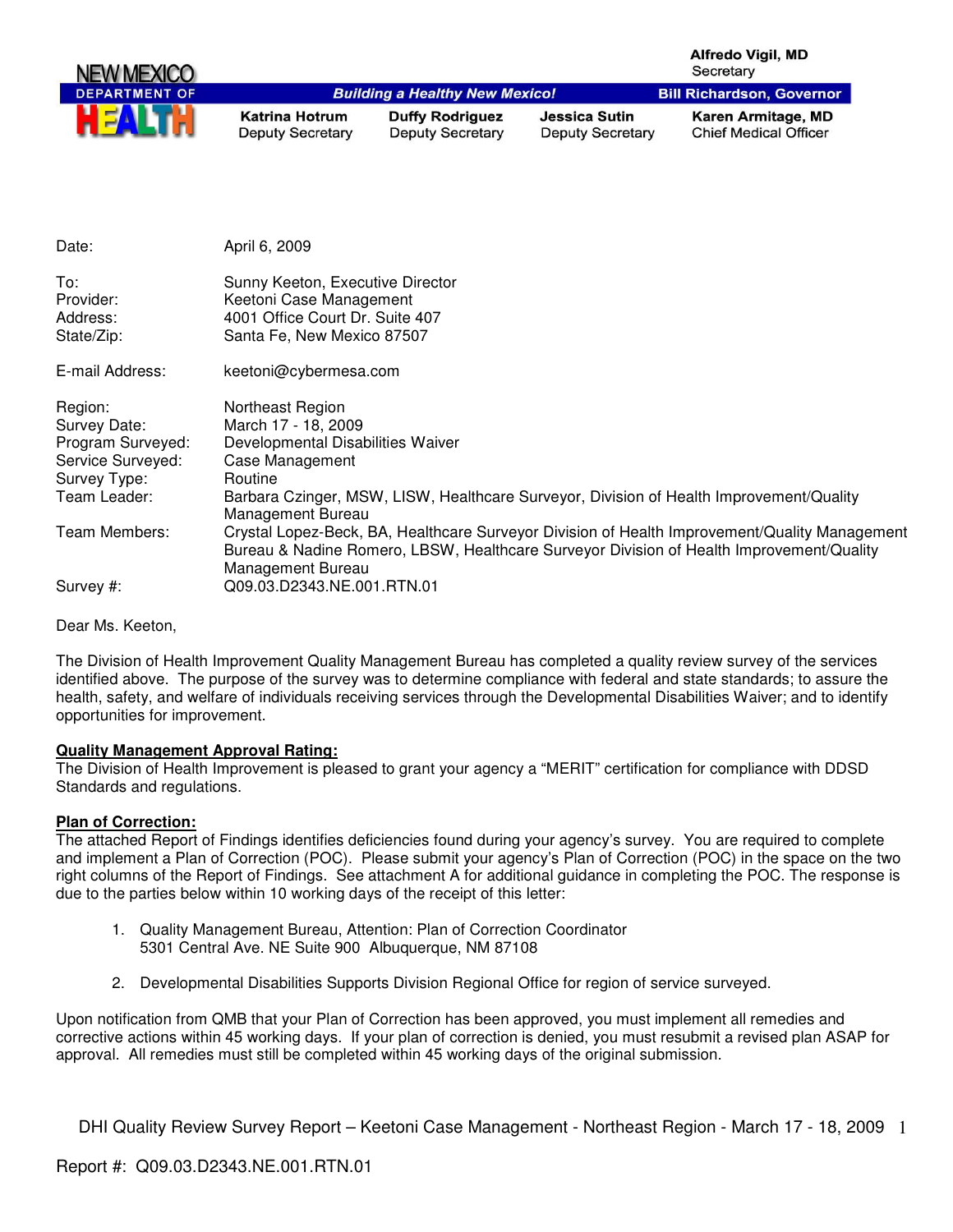| NEW MEXICO           |                                                  |                                                   |                                                 | Alfredo Vigil, MD<br>Secretary                     |
|----------------------|--------------------------------------------------|---------------------------------------------------|-------------------------------------------------|----------------------------------------------------|
| <b>DEPARTMENT OF</b> |                                                  | <b>Building a Healthy New Mexico!</b>             |                                                 | <b>Bill Richardson, Governor</b>                   |
| H                    | <b>Katrina Hotrum</b><br><b>Deputy Secretary</b> | <b>Duffy Rodriguez</b><br><b>Deputy Secretary</b> | <b>Jessica Sutin</b><br><b>Deputy Secretary</b> | Karen Armitage, MD<br><b>Chief Medical Officer</b> |

| April 6, 2009                                                                                                                                                                                                                                |
|----------------------------------------------------------------------------------------------------------------------------------------------------------------------------------------------------------------------------------------------|
| Sunny Keeton, Executive Director<br>Keetoni Case Management<br>4001 Office Court Dr. Suite 407<br>Santa Fe, New Mexico 87507                                                                                                                 |
| keetoni@cybermesa.com                                                                                                                                                                                                                        |
| Northeast Region<br>March 17 - 18, 2009<br>Developmental Disabilities Waiver<br>Case Management<br>Routine<br>Barbara Czinger, MSW, LISW, Healthcare Surveyor, Division of Health Improvement/Quality<br>Management Bureau                   |
| Crystal Lopez-Beck, BA, Healthcare Surveyor Division of Health Improvement/Quality Management<br>Bureau & Nadine Romero, LBSW, Healthcare Surveyor Division of Health Improvement/Quality<br>Management Bureau<br>Q09.03.D2343.NE.001.RTN.01 |
|                                                                                                                                                                                                                                              |

Dear Ms. Keeton,

The Division of Health Improvement Quality Management Bureau has completed a quality review survey of the services identified above. The purpose of the survey was to determine compliance with federal and state standards; to assure the health, safety, and welfare of individuals receiving services through the Developmental Disabilities Waiver; and to identify opportunities for improvement.

#### **Quality Management Approval Rating:**

The Division of Health Improvement is pleased to grant your agency a "MERIT" certification for compliance with DDSD Standards and regulations.

#### **Plan of Correction:**

The attached Report of Findings identifies deficiencies found during your agency's survey. You are required to complete and implement a Plan of Correction (POC). Please submit your agency's Plan of Correction (POC) in the space on the two right columns of the Report of Findings. See attachment A for additional guidance in completing the POC. The response is due to the parties below within 10 working days of the receipt of this letter:

- 1. Quality Management Bureau, Attention: Plan of Correction Coordinator 5301 Central Ave. NE Suite 900 Albuquerque, NM 87108
- 2. Developmental Disabilities Supports Division Regional Office for region of service surveyed.

Upon notification from QMB that your Plan of Correction has been approved, you must implement all remedies and corrective actions within 45 working days. If your plan of correction is denied, you must resubmit a revised plan ASAP for approval. All remedies must still be completed within 45 working days of the original submission.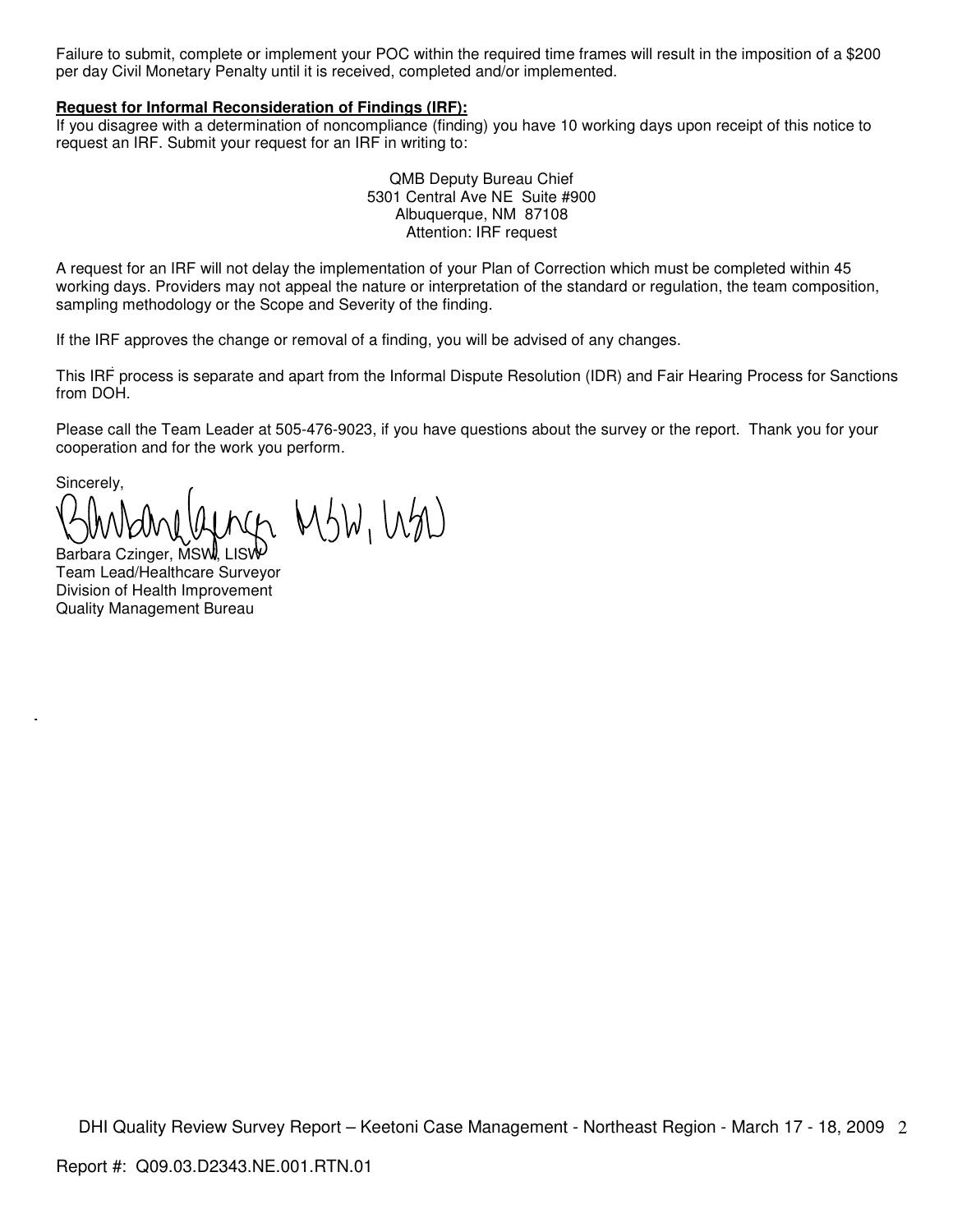Failure to submit, complete or implement your POC within the required time frames will result in the imposition of a \$200 per day Civil Monetary Penalty until it is received, completed and/or implemented.

#### **Request for Informal Reconsideration of Findings (IRF):**

If you disagree with a determination of noncompliance (finding) you have 10 working days upon receipt of this notice to request an IRF. Submit your request for an IRF in writing to:

> QMB Deputy Bureau Chief 5301 Central Ave NE Suite #900 Albuquerque, NM 87108 Attention: IRF request

A request for an IRF will not delay the implementation of your Plan of Correction which must be completed within 45 working days. Providers may not appeal the nature or interpretation of the standard or regulation, the team composition, sampling methodology or the Scope and Severity of the finding.

If the IRF approves the change or removal of a finding, you will be advised of any changes.

This IRF process is separate and apart from the Informal Dispute Resolution (IDR) and Fair Hearing Process for Sanctions from DOH.

Please call the Team Leader at 505-476-9023, if you have questions about the survey or the report. Thank you for your cooperation and for the work you perform.

Sincerely, n MSW, WM

Barbara Czinger, MSW, LIS Team Lead/Healthcare Surveyor Division of Health Improvement Quality Management Bureau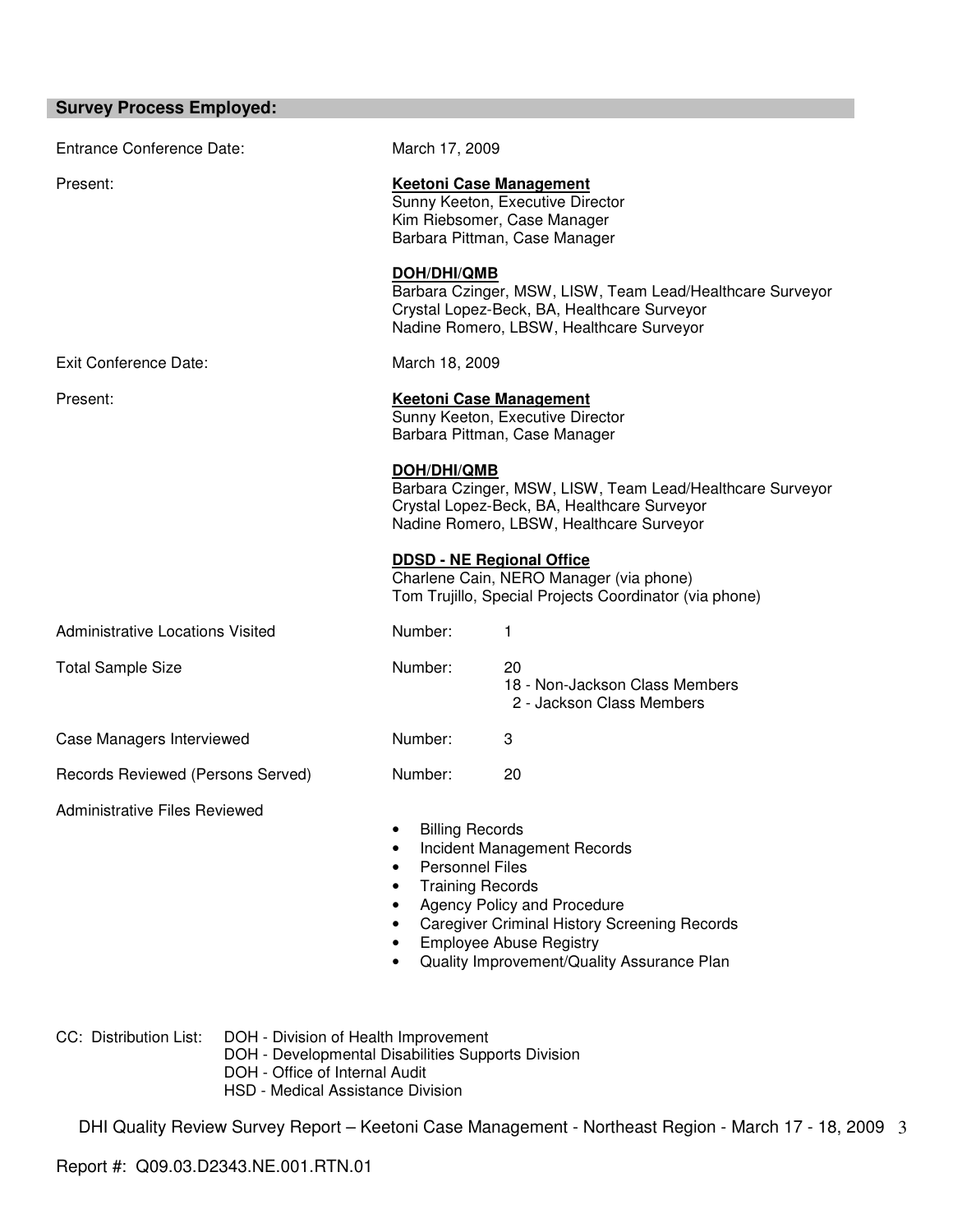| <b>Entrance Conference Date:</b>        | March 17, 2009                                                                                                                                                                                                                                                                   |                                                                                                                                                      |
|-----------------------------------------|----------------------------------------------------------------------------------------------------------------------------------------------------------------------------------------------------------------------------------------------------------------------------------|------------------------------------------------------------------------------------------------------------------------------------------------------|
| Present:                                | <b>Keetoni Case Management</b><br>Sunny Keeton, Executive Director<br>Kim Riebsomer, Case Manager<br>Barbara Pittman, Case Manager                                                                                                                                               |                                                                                                                                                      |
|                                         | <b>DOH/DHI/QMB</b>                                                                                                                                                                                                                                                               | Barbara Czinger, MSW, LISW, Team Lead/Healthcare Surveyor<br>Crystal Lopez-Beck, BA, Healthcare Surveyor<br>Nadine Romero, LBSW, Healthcare Surveyor |
| Exit Conference Date:                   | March 18, 2009                                                                                                                                                                                                                                                                   |                                                                                                                                                      |
| Present:                                | <b>Keetoni Case Management</b><br>Sunny Keeton, Executive Director<br>Barbara Pittman, Case Manager                                                                                                                                                                              |                                                                                                                                                      |
|                                         | <b>DOH/DHI/QMB</b><br>Barbara Czinger, MSW, LISW, Team Lead/Healthcare Surveyor<br>Crystal Lopez-Beck, BA, Healthcare Surveyor<br>Nadine Romero, LBSW, Healthcare Surveyor                                                                                                       |                                                                                                                                                      |
|                                         | <b>DDSD - NE Regional Office</b>                                                                                                                                                                                                                                                 | Charlene Cain, NERO Manager (via phone)<br>Tom Trujillo, Special Projects Coordinator (via phone)                                                    |
| <b>Administrative Locations Visited</b> | Number:                                                                                                                                                                                                                                                                          | 1                                                                                                                                                    |
| <b>Total Sample Size</b>                | Number:                                                                                                                                                                                                                                                                          | 20<br>18 - Non-Jackson Class Members<br>2 - Jackson Class Members                                                                                    |
| Case Managers Interviewed               | Number:                                                                                                                                                                                                                                                                          | 3                                                                                                                                                    |
| Records Reviewed (Persons Served)       | Number:                                                                                                                                                                                                                                                                          | 20                                                                                                                                                   |
| <b>Administrative Files Reviewed</b>    | <b>Billing Records</b><br>Incident Management Records<br><b>Personnel Files</b><br><b>Training Records</b><br>Agency Policy and Procedure<br><b>Caregiver Criminal History Screening Records</b><br><b>Employee Abuse Registry</b><br>Quality Improvement/Quality Assurance Plan |                                                                                                                                                      |

CC: Distribution List: DOH - Division of Health Improvement

- DOH Developmental Disabilities Supports Division
- DOH Office of Internal Audit
	- HSD Medical Assistance Division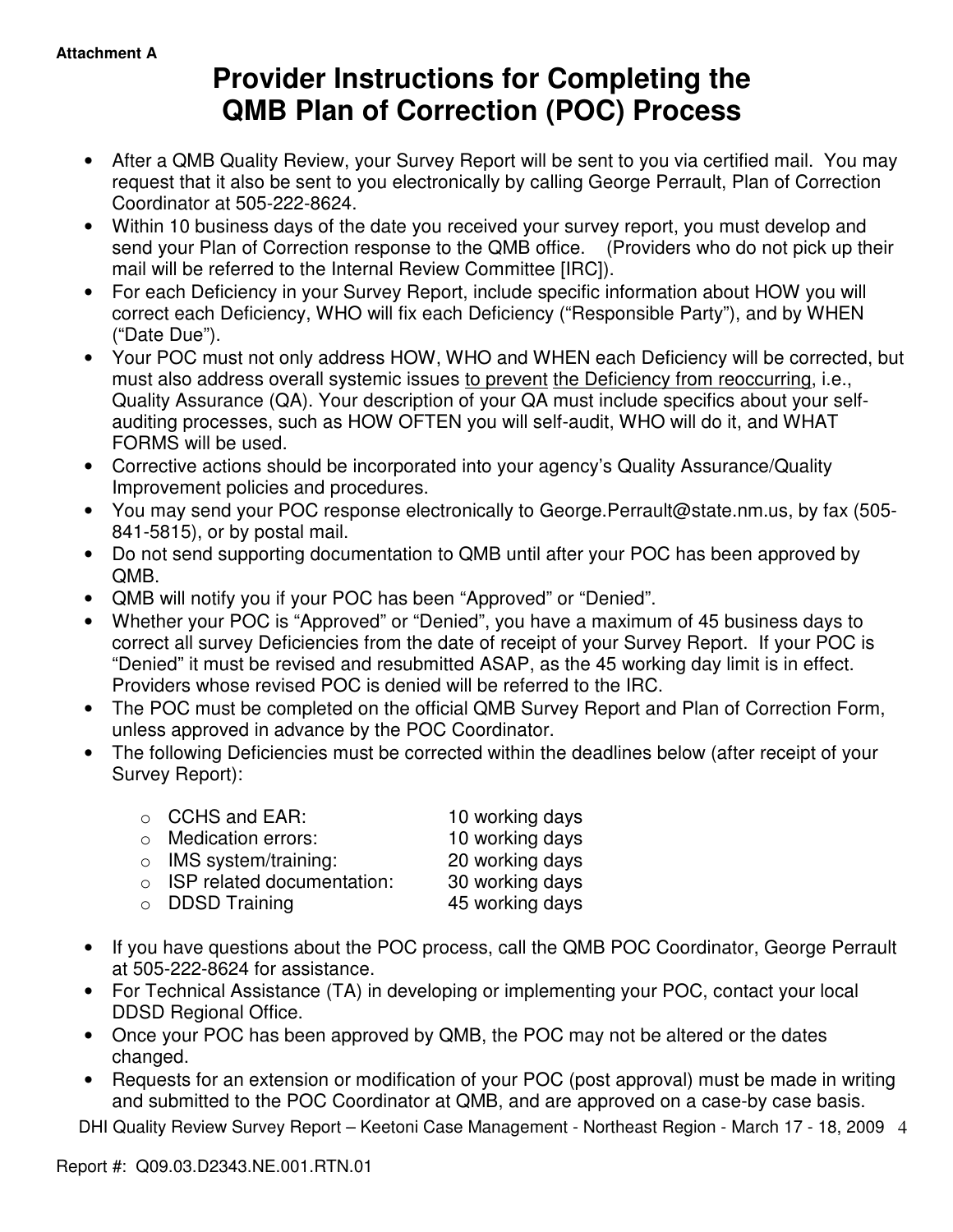# **Provider Instructions for Completing the QMB Plan of Correction (POC) Process**

- After a QMB Quality Review, your Survey Report will be sent to you via certified mail. You may request that it also be sent to you electronically by calling George Perrault, Plan of Correction Coordinator at 505-222-8624.
- Within 10 business days of the date you received your survey report, you must develop and send your Plan of Correction response to the QMB office. (Providers who do not pick up their mail will be referred to the Internal Review Committee [IRC]).
- For each Deficiency in your Survey Report, include specific information about HOW you will correct each Deficiency, WHO will fix each Deficiency ("Responsible Party"), and by WHEN ("Date Due").
- Your POC must not only address HOW, WHO and WHEN each Deficiency will be corrected, but must also address overall systemic issues to prevent the Deficiency from reoccurring, i.e., Quality Assurance (QA). Your description of your QA must include specifics about your selfauditing processes, such as HOW OFTEN you will self-audit, WHO will do it, and WHAT FORMS will be used.
- Corrective actions should be incorporated into your agency's Quality Assurance/Quality Improvement policies and procedures.
- You may send your POC response electronically to George.Perrault@state.nm.us, by fax (505- 841-5815), or by postal mail.
- Do not send supporting documentation to QMB until after your POC has been approved by QMB.
- QMB will notify you if your POC has been "Approved" or "Denied".
- Whether your POC is "Approved" or "Denied", you have a maximum of 45 business days to correct all survey Deficiencies from the date of receipt of your Survey Report. If your POC is "Denied" it must be revised and resubmitted ASAP, as the 45 working day limit is in effect. Providers whose revised POC is denied will be referred to the IRC.
- The POC must be completed on the official QMB Survey Report and Plan of Correction Form, unless approved in advance by the POC Coordinator.
- The following Deficiencies must be corrected within the deadlines below (after receipt of your Survey Report):

| $\circ$ CCHS and EAR:              | 10 working days |
|------------------------------------|-----------------|
| $\circ$ Medication errors:         | 10 working days |
| $\circ$ IMS system/training:       | 20 working days |
| $\circ$ ISP related documentation: | 30 working days |
| $\circ$ DDSD Training              | 45 working days |

- If you have questions about the POC process, call the QMB POC Coordinator, George Perrault at 505-222-8624 for assistance.
- For Technical Assistance (TA) in developing or implementing your POC, contact your local DDSD Regional Office.
- Once your POC has been approved by QMB, the POC may not be altered or the dates changed.
- Requests for an extension or modification of your POC (post approval) must be made in writing and submitted to the POC Coordinator at QMB, and are approved on a case-by case basis.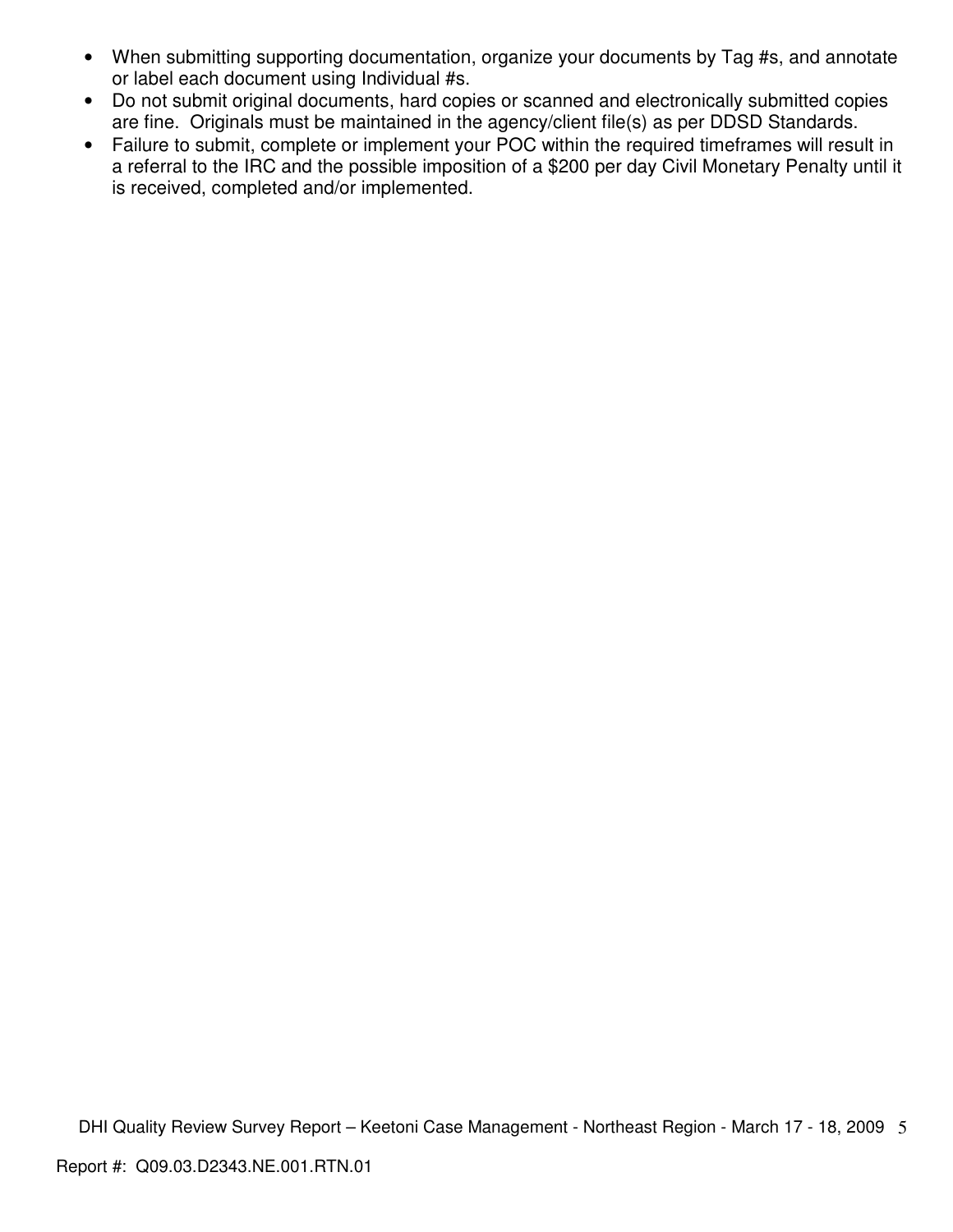- When submitting supporting documentation, organize your documents by Tag #s, and annotate or label each document using Individual #s.
- Do not submit original documents, hard copies or scanned and electronically submitted copies are fine. Originals must be maintained in the agency/client file(s) as per DDSD Standards.
- Failure to submit, complete or implement your POC within the required timeframes will result in a referral to the IRC and the possible imposition of a \$200 per day Civil Monetary Penalty until it is received, completed and/or implemented.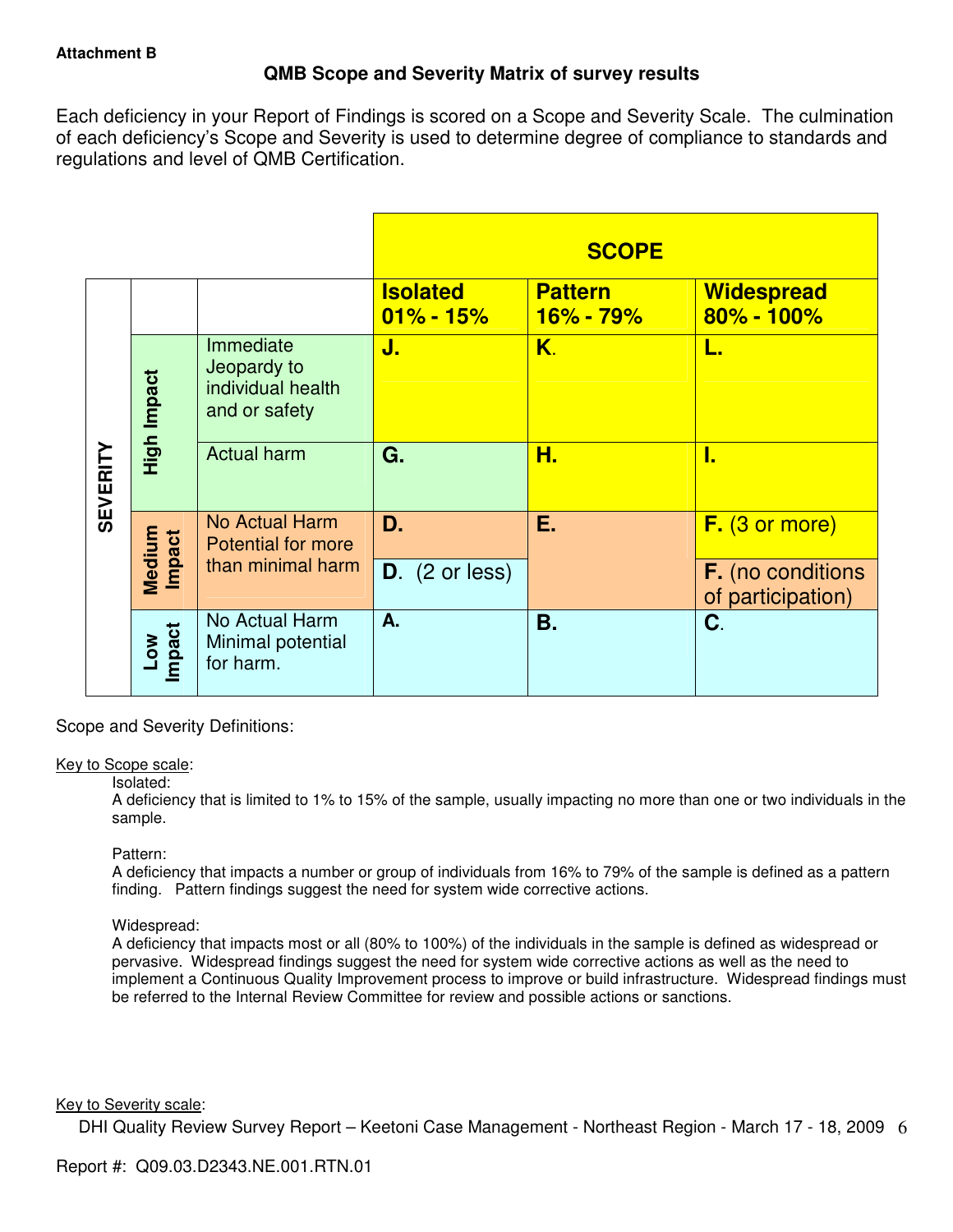# **QMB Scope and Severity Matrix of survey results**

Each deficiency in your Report of Findings is scored on a Scope and Severity Scale. The culmination of each deficiency's Scope and Severity is used to determine degree of compliance to standards and regulations and level of QMB Certification.

|                 |                            |                                                                |                                  | <b>SCOPE</b>                    |                                               |
|-----------------|----------------------------|----------------------------------------------------------------|----------------------------------|---------------------------------|-----------------------------------------------|
|                 |                            |                                                                | <b>Isolated</b><br>$01\% - 15\%$ | <b>Pattern</b><br>$16\% - 79\%$ | <b>Widespread</b><br>$80\% - 100\%$           |
| <b>SEVERITY</b> | High Impact                | Immediate<br>Jeopardy to<br>individual health<br>and or safety | J.                               | K.                              | L.                                            |
|                 |                            | <b>Actual harm</b>                                             | G.                               | Н.                              | I.                                            |
|                 | Medium<br><b>Impact</b>    | No Actual Harm<br><b>Potential for more</b>                    | D.                               | Ε.                              | F. (3 or more)                                |
|                 |                            | than minimal harm                                              | $D.$ (2 or less)                 |                                 | <b>F.</b> (no conditions<br>of participation) |
|                 | Impact<br>$\sum_{i=1}^{N}$ | No Actual Harm<br>Minimal potential<br>for harm.               | А.                               | <b>B.</b>                       | C.                                            |

Scope and Severity Definitions:

#### Key to Scope scale:

#### Isolated:

A deficiency that is limited to 1% to 15% of the sample, usually impacting no more than one or two individuals in the sample.

#### Pattern:

A deficiency that impacts a number or group of individuals from 16% to 79% of the sample is defined as a pattern finding. Pattern findings suggest the need for system wide corrective actions.

## Widespread:

A deficiency that impacts most or all (80% to 100%) of the individuals in the sample is defined as widespread or pervasive. Widespread findings suggest the need for system wide corrective actions as well as the need to implement a Continuous Quality Improvement process to improve or build infrastructure. Widespread findings must be referred to the Internal Review Committee for review and possible actions or sanctions.

#### Key to Severity scale: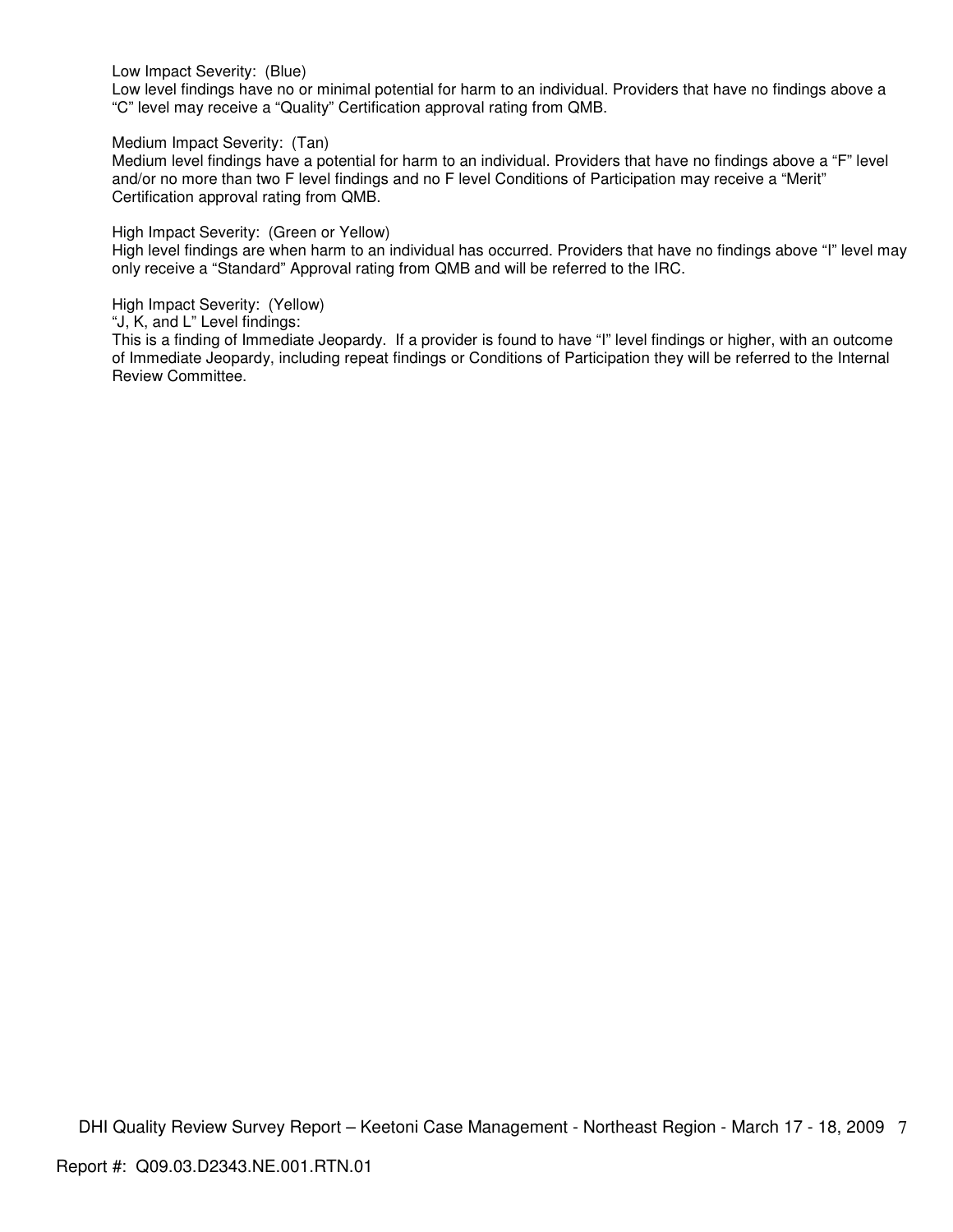Low Impact Severity: (Blue)

Low level findings have no or minimal potential for harm to an individual. Providers that have no findings above a "C" level may receive a "Quality" Certification approval rating from QMB.

Medium Impact Severity: (Tan)

Medium level findings have a potential for harm to an individual. Providers that have no findings above a "F" level and/or no more than two F level findings and no F level Conditions of Participation may receive a "Merit" Certification approval rating from QMB.

High Impact Severity: (Green or Yellow)

High level findings are when harm to an individual has occurred. Providers that have no findings above "I" level may only receive a "Standard" Approval rating from QMB and will be referred to the IRC.

High Impact Severity: (Yellow)

"J, K, and L" Level findings:

This is a finding of Immediate Jeopardy. If a provider is found to have "I" level findings or higher, with an outcome of Immediate Jeopardy, including repeat findings or Conditions of Participation they will be referred to the Internal Review Committee.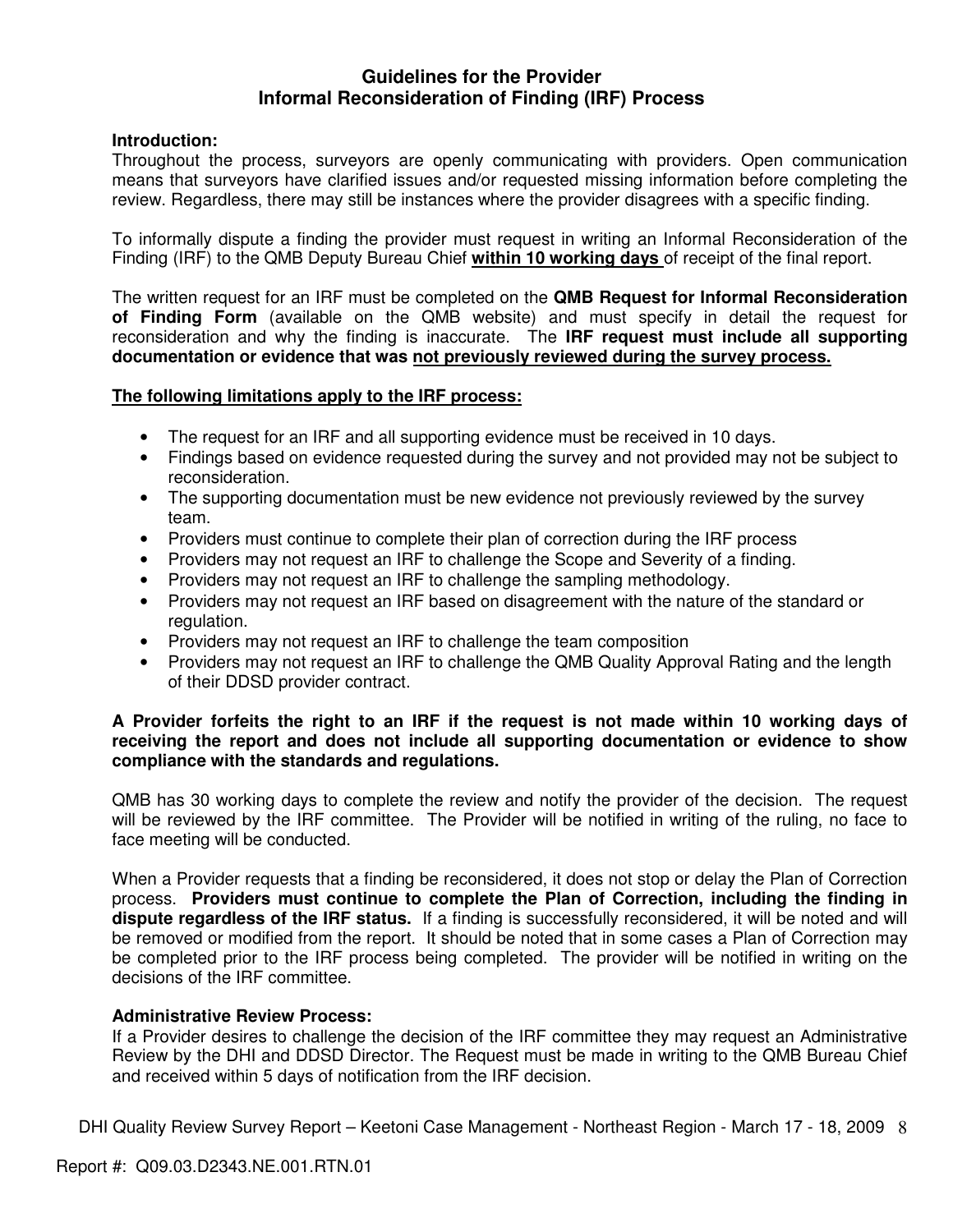## **Guidelines for the Provider Informal Reconsideration of Finding (IRF) Process**

## **Introduction:**

Throughout the process, surveyors are openly communicating with providers. Open communication means that surveyors have clarified issues and/or requested missing information before completing the review. Regardless, there may still be instances where the provider disagrees with a specific finding.

To informally dispute a finding the provider must request in writing an Informal Reconsideration of the Finding (IRF) to the QMB Deputy Bureau Chief **within 10 working days** of receipt of the final report.

The written request for an IRF must be completed on the **QMB Request for Informal Reconsideration of Finding Form** (available on the QMB website) and must specify in detail the request for reconsideration and why the finding is inaccurate. The **IRF request must include all supporting documentation or evidence that was not previously reviewed during the survey process.** 

## **The following limitations apply to the IRF process:**

- The request for an IRF and all supporting evidence must be received in 10 days.
- Findings based on evidence requested during the survey and not provided may not be subject to reconsideration.
- The supporting documentation must be new evidence not previously reviewed by the survey team.
- Providers must continue to complete their plan of correction during the IRF process
- Providers may not request an IRF to challenge the Scope and Severity of a finding.
- Providers may not request an IRF to challenge the sampling methodology.
- Providers may not request an IRF based on disagreement with the nature of the standard or regulation.
- Providers may not request an IRF to challenge the team composition
- Providers may not request an IRF to challenge the QMB Quality Approval Rating and the length of their DDSD provider contract.

## **A Provider forfeits the right to an IRF if the request is not made within 10 working days of receiving the report and does not include all supporting documentation or evidence to show compliance with the standards and regulations.**

QMB has 30 working days to complete the review and notify the provider of the decision. The request will be reviewed by the IRF committee. The Provider will be notified in writing of the ruling, no face to face meeting will be conducted.

When a Provider requests that a finding be reconsidered, it does not stop or delay the Plan of Correction process. **Providers must continue to complete the Plan of Correction, including the finding in dispute regardless of the IRF status.** If a finding is successfully reconsidered, it will be noted and will be removed or modified from the report. It should be noted that in some cases a Plan of Correction may be completed prior to the IRF process being completed. The provider will be notified in writing on the decisions of the IRF committee.

## **Administrative Review Process:**

If a Provider desires to challenge the decision of the IRF committee they may request an Administrative Review by the DHI and DDSD Director. The Request must be made in writing to the QMB Bureau Chief and received within 5 days of notification from the IRF decision.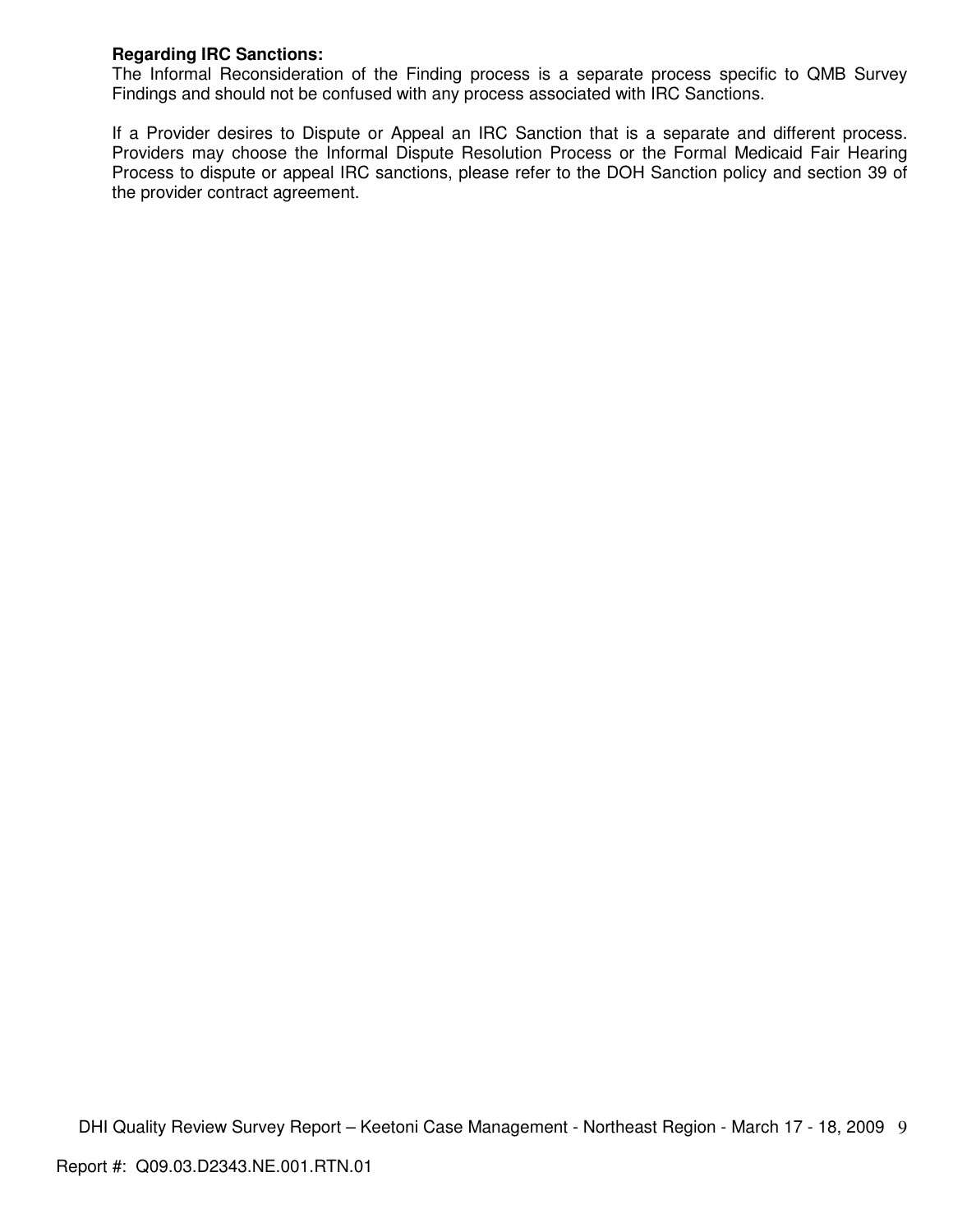## **Regarding IRC Sanctions:**

The Informal Reconsideration of the Finding process is a separate process specific to QMB Survey Findings and should not be confused with any process associated with IRC Sanctions.

If a Provider desires to Dispute or Appeal an IRC Sanction that is a separate and different process. Providers may choose the Informal Dispute Resolution Process or the Formal Medicaid Fair Hearing Process to dispute or appeal IRC sanctions, please refer to the DOH Sanction policy and section 39 of the provider contract agreement.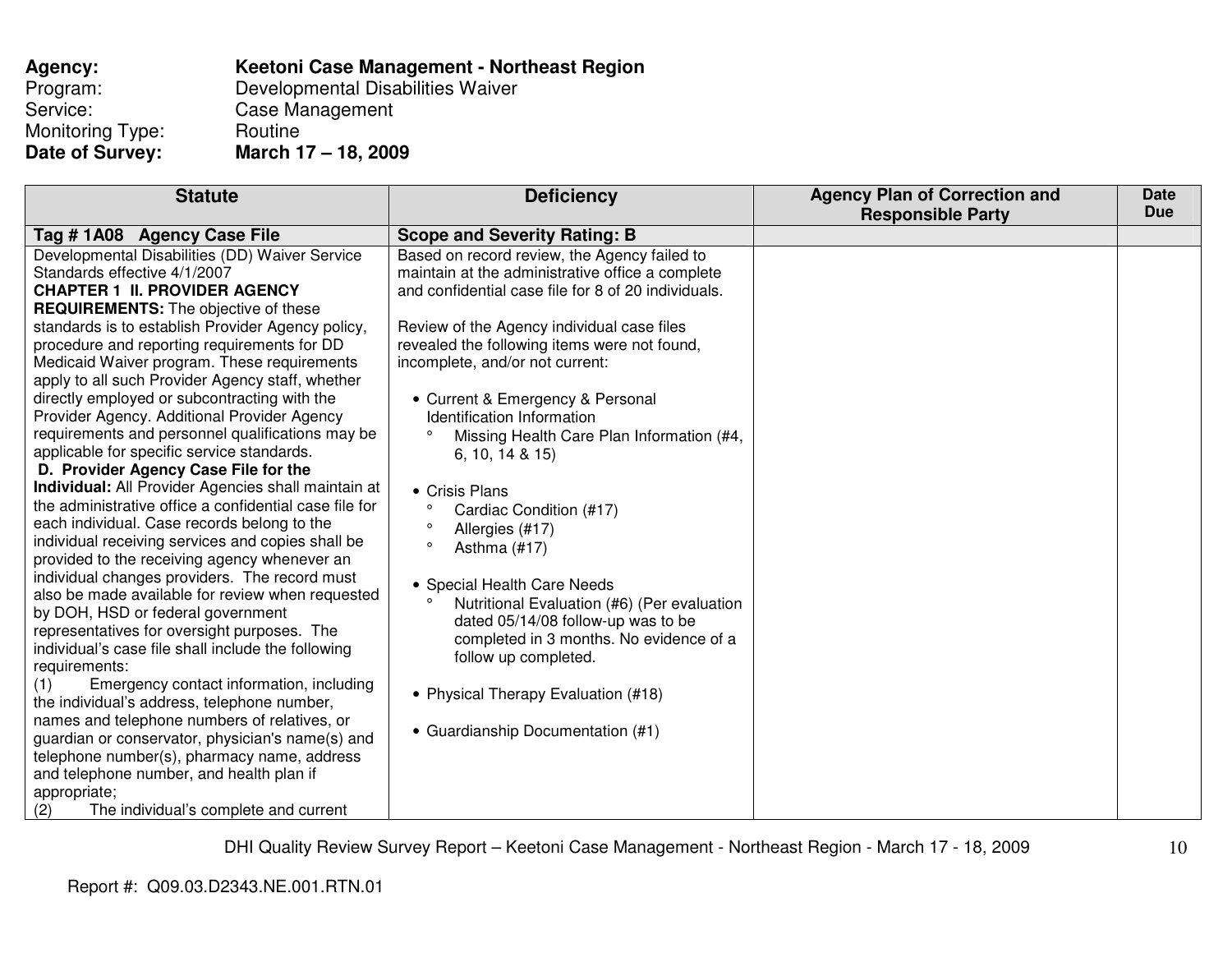| Agency:          | Keetoni Case Management - Northeast Region |
|------------------|--------------------------------------------|
| Program:         | Developmental Disabilities Waiver          |
| Service:         | Case Management                            |
| Monitoring Type: | Routine                                    |
| Date of Survey:  | March 17 - 18, 2009                        |

| <b>Statute</b>                                                                                                                                                                                                                                                                                                                                                                                                                                                                                                                                                                                                                                                                                                                                                                                                                                                                                                                                                                                                                                                                                                                                                                                                                                                                                                                                                                                                                                                                                                              | <b>Deficiency</b>                                                                                                                                                                                                                                                                                                                                                                                                                                                                                                                                                                                                                                                                                                                                                                                                               | <b>Agency Plan of Correction and</b><br><b>Responsible Party</b> | <b>Date</b><br><b>Due</b> |
|-----------------------------------------------------------------------------------------------------------------------------------------------------------------------------------------------------------------------------------------------------------------------------------------------------------------------------------------------------------------------------------------------------------------------------------------------------------------------------------------------------------------------------------------------------------------------------------------------------------------------------------------------------------------------------------------------------------------------------------------------------------------------------------------------------------------------------------------------------------------------------------------------------------------------------------------------------------------------------------------------------------------------------------------------------------------------------------------------------------------------------------------------------------------------------------------------------------------------------------------------------------------------------------------------------------------------------------------------------------------------------------------------------------------------------------------------------------------------------------------------------------------------------|---------------------------------------------------------------------------------------------------------------------------------------------------------------------------------------------------------------------------------------------------------------------------------------------------------------------------------------------------------------------------------------------------------------------------------------------------------------------------------------------------------------------------------------------------------------------------------------------------------------------------------------------------------------------------------------------------------------------------------------------------------------------------------------------------------------------------------|------------------------------------------------------------------|---------------------------|
| Tag #1A08 Agency Case File                                                                                                                                                                                                                                                                                                                                                                                                                                                                                                                                                                                                                                                                                                                                                                                                                                                                                                                                                                                                                                                                                                                                                                                                                                                                                                                                                                                                                                                                                                  |                                                                                                                                                                                                                                                                                                                                                                                                                                                                                                                                                                                                                                                                                                                                                                                                                                 |                                                                  |                           |
| Developmental Disabilities (DD) Waiver Service<br>Standards effective 4/1/2007<br><b>CHAPTER 1 II. PROVIDER AGENCY</b><br><b>REQUIREMENTS:</b> The objective of these<br>standards is to establish Provider Agency policy,<br>procedure and reporting requirements for DD<br>Medicaid Waiver program. These requirements<br>apply to all such Provider Agency staff, whether<br>directly employed or subcontracting with the<br>Provider Agency. Additional Provider Agency<br>requirements and personnel qualifications may be<br>applicable for specific service standards.<br>D. Provider Agency Case File for the<br>Individual: All Provider Agencies shall maintain at<br>the administrative office a confidential case file for<br>each individual. Case records belong to the<br>individual receiving services and copies shall be<br>provided to the receiving agency whenever an<br>individual changes providers. The record must<br>also be made available for review when requested<br>by DOH, HSD or federal government<br>representatives for oversight purposes. The<br>individual's case file shall include the following<br>requirements:<br>Emergency contact information, including<br>(1)<br>the individual's address, telephone number,<br>names and telephone numbers of relatives, or<br>guardian or conservator, physician's name(s) and<br>telephone number(s), pharmacy name, address<br>and telephone number, and health plan if<br>appropriate;<br>The individual's complete and current<br>(2) | <b>Scope and Severity Rating: B</b><br>Based on record review, the Agency failed to<br>maintain at the administrative office a complete<br>and confidential case file for 8 of 20 individuals.<br>Review of the Agency individual case files<br>revealed the following items were not found,<br>incomplete, and/or not current:<br>• Current & Emergency & Personal<br>Identification Information<br>$\circ$<br>Missing Health Care Plan Information (#4,<br>6, 10, 14 & 815<br>• Crisis Plans<br>Cardiac Condition (#17)<br>Allergies (#17)<br>Asthma (#17)<br>• Special Health Care Needs<br>Nutritional Evaluation (#6) (Per evaluation<br>dated 05/14/08 follow-up was to be<br>completed in 3 months. No evidence of a<br>follow up completed.<br>• Physical Therapy Evaluation (#18)<br>• Guardianship Documentation (#1) |                                                                  |                           |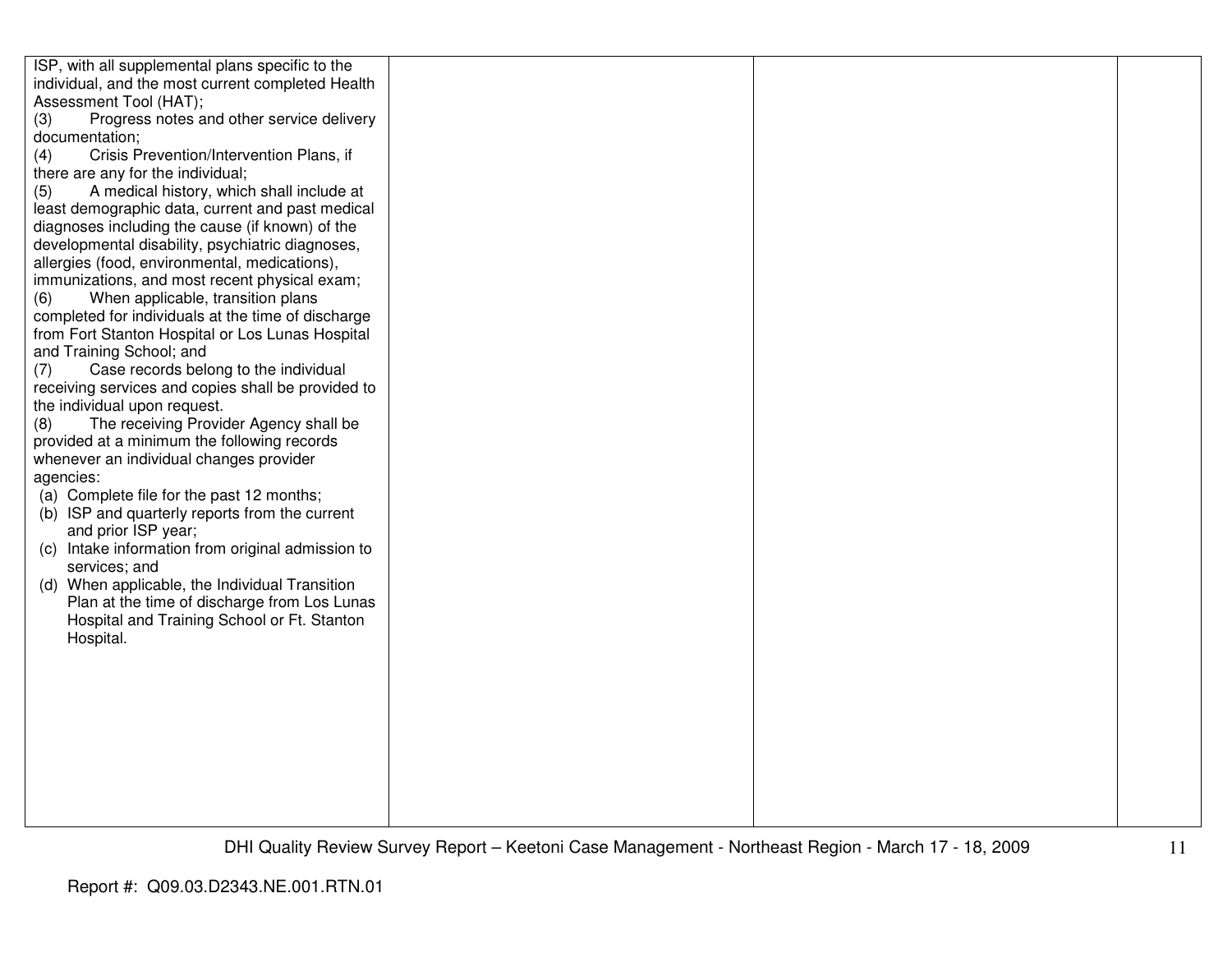| ISP, with all supplemental plans specific to the   |  |  |
|----------------------------------------------------|--|--|
| individual, and the most current completed Health  |  |  |
| Assessment Tool (HAT);                             |  |  |
| Progress notes and other service delivery<br>(3)   |  |  |
| documentation;                                     |  |  |
| Crisis Prevention/Intervention Plans, if<br>(4)    |  |  |
| there are any for the individual;                  |  |  |
| A medical history, which shall include at<br>(5)   |  |  |
| least demographic data, current and past medical   |  |  |
| diagnoses including the cause (if known) of the    |  |  |
| developmental disability, psychiatric diagnoses,   |  |  |
| allergies (food, environmental, medications),      |  |  |
| immunizations, and most recent physical exam;      |  |  |
| When applicable, transition plans<br>(6)           |  |  |
| completed for individuals at the time of discharge |  |  |
| from Fort Stanton Hospital or Los Lunas Hospital   |  |  |
| and Training School; and                           |  |  |
| Case records belong to the individual<br>(7)       |  |  |
| receiving services and copies shall be provided to |  |  |
| the individual upon request.                       |  |  |
| The receiving Provider Agency shall be<br>(8)      |  |  |
| provided at a minimum the following records        |  |  |
| whenever an individual changes provider            |  |  |
| agencies:                                          |  |  |
| (a) Complete file for the past 12 months;          |  |  |
| (b) ISP and quarterly reports from the current     |  |  |
| and prior ISP year;                                |  |  |
| (c) Intake information from original admission to  |  |  |
| services; and                                      |  |  |
| (d) When applicable, the Individual Transition     |  |  |
| Plan at the time of discharge from Los Lunas       |  |  |
| Hospital and Training School or Ft. Stanton        |  |  |
| Hospital.                                          |  |  |
|                                                    |  |  |
|                                                    |  |  |
|                                                    |  |  |
|                                                    |  |  |
|                                                    |  |  |
|                                                    |  |  |
|                                                    |  |  |
|                                                    |  |  |
|                                                    |  |  |
|                                                    |  |  |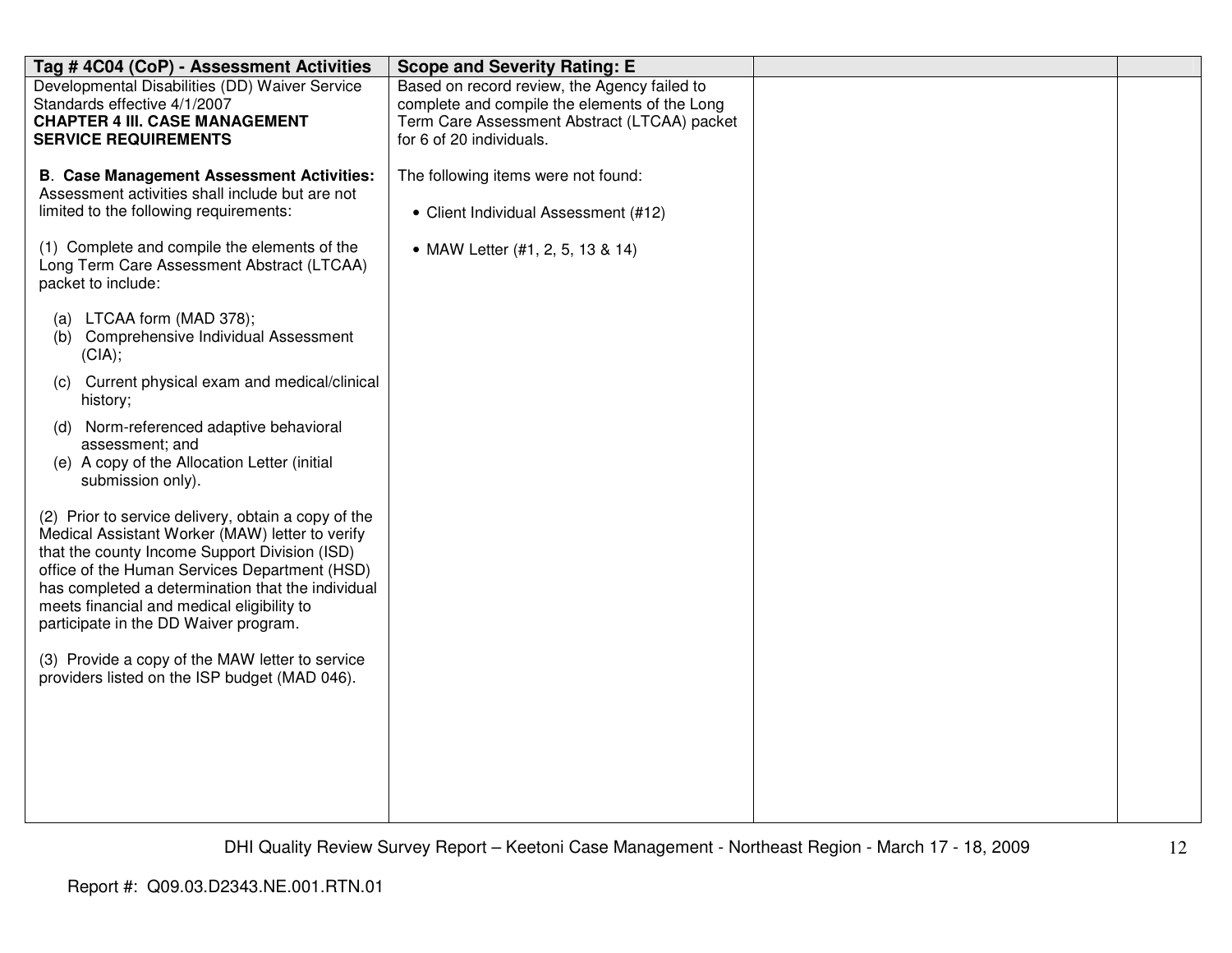| Tag # 4C04 (CoP) - Assessment Activities                                                                                                                                                                                                                                                                                                             | <b>Scope and Severity Rating: E</b>                                                                                                                                       |  |
|------------------------------------------------------------------------------------------------------------------------------------------------------------------------------------------------------------------------------------------------------------------------------------------------------------------------------------------------------|---------------------------------------------------------------------------------------------------------------------------------------------------------------------------|--|
| Developmental Disabilities (DD) Waiver Service<br>Standards effective 4/1/2007<br><b>CHAPTER 4 III. CASE MANAGEMENT</b><br><b>SERVICE REQUIREMENTS</b>                                                                                                                                                                                               | Based on record review, the Agency failed to<br>complete and compile the elements of the Long<br>Term Care Assessment Abstract (LTCAA) packet<br>for 6 of 20 individuals. |  |
| <b>B. Case Management Assessment Activities:</b><br>Assessment activities shall include but are not<br>limited to the following requirements:                                                                                                                                                                                                        | The following items were not found:<br>• Client Individual Assessment (#12)                                                                                               |  |
| (1) Complete and compile the elements of the<br>Long Term Care Assessment Abstract (LTCAA)<br>packet to include:                                                                                                                                                                                                                                     | • MAW Letter (#1, 2, 5, 13 & 14)                                                                                                                                          |  |
| (a) LTCAA form (MAD 378);<br>Comprehensive Individual Assessment<br>(b)<br>(CIA);                                                                                                                                                                                                                                                                    |                                                                                                                                                                           |  |
| (c) Current physical exam and medical/clinical<br>history;                                                                                                                                                                                                                                                                                           |                                                                                                                                                                           |  |
| Norm-referenced adaptive behavioral<br>(d)<br>assessment; and<br>(e) A copy of the Allocation Letter (initial<br>submission only).                                                                                                                                                                                                                   |                                                                                                                                                                           |  |
| (2) Prior to service delivery, obtain a copy of the<br>Medical Assistant Worker (MAW) letter to verify<br>that the county Income Support Division (ISD)<br>office of the Human Services Department (HSD)<br>has completed a determination that the individual<br>meets financial and medical eligibility to<br>participate in the DD Waiver program. |                                                                                                                                                                           |  |
| (3) Provide a copy of the MAW letter to service<br>providers listed on the ISP budget (MAD 046).                                                                                                                                                                                                                                                     |                                                                                                                                                                           |  |
|                                                                                                                                                                                                                                                                                                                                                      |                                                                                                                                                                           |  |
|                                                                                                                                                                                                                                                                                                                                                      |                                                                                                                                                                           |  |
|                                                                                                                                                                                                                                                                                                                                                      |                                                                                                                                                                           |  |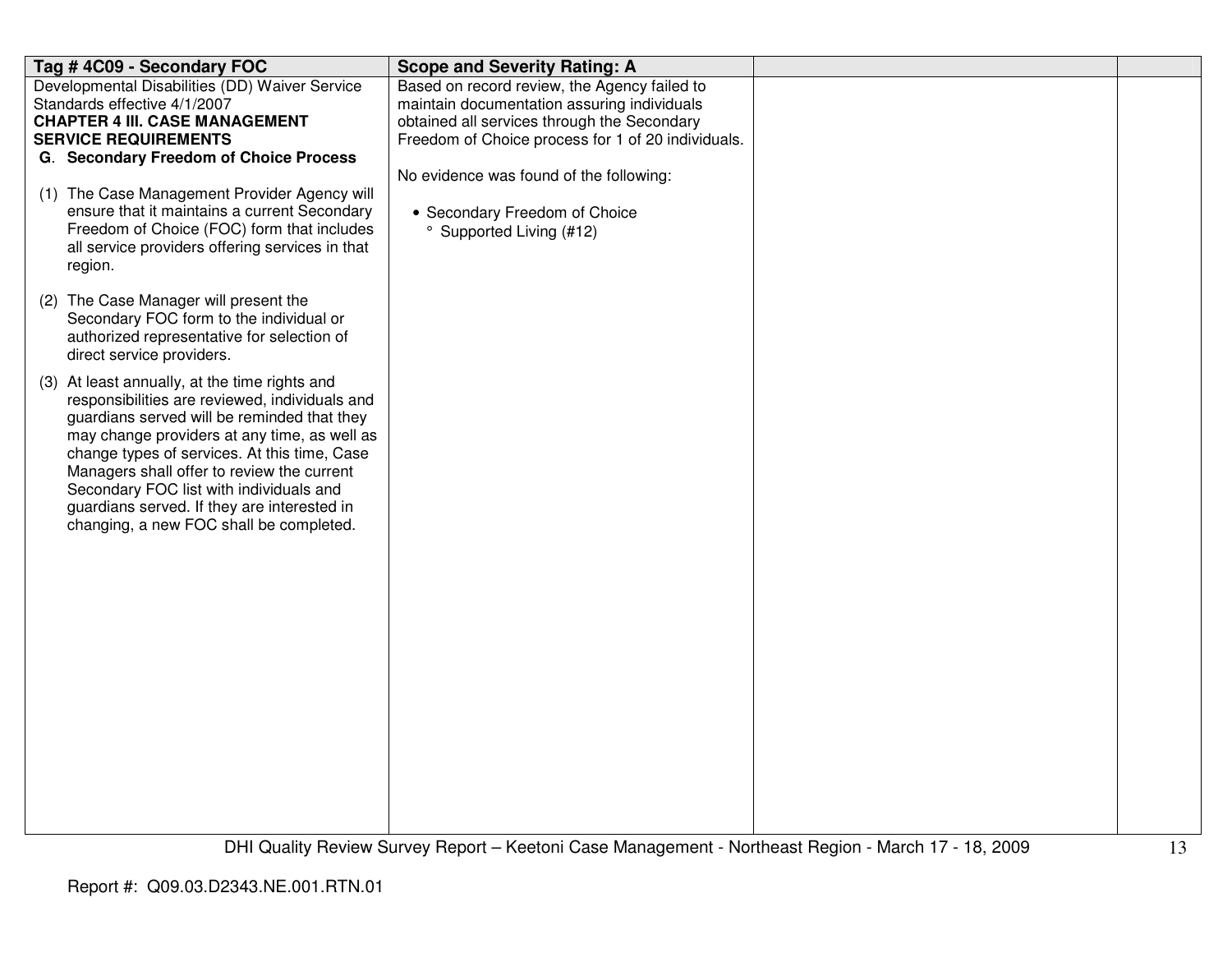| Tag #4C09 - Secondary FOC                                                                                                                                                                                                                                                                                                                                                                                                         | <b>Scope and Severity Rating: A</b>                                                                             |  |
|-----------------------------------------------------------------------------------------------------------------------------------------------------------------------------------------------------------------------------------------------------------------------------------------------------------------------------------------------------------------------------------------------------------------------------------|-----------------------------------------------------------------------------------------------------------------|--|
| Developmental Disabilities (DD) Waiver Service                                                                                                                                                                                                                                                                                                                                                                                    | Based on record review, the Agency failed to                                                                    |  |
| Standards effective 4/1/2007                                                                                                                                                                                                                                                                                                                                                                                                      | maintain documentation assuring individuals                                                                     |  |
| <b>CHAPTER 4 III. CASE MANAGEMENT</b>                                                                                                                                                                                                                                                                                                                                                                                             | obtained all services through the Secondary                                                                     |  |
| <b>SERVICE REQUIREMENTS</b>                                                                                                                                                                                                                                                                                                                                                                                                       | Freedom of Choice process for 1 of 20 individuals.                                                              |  |
| G. Secondary Freedom of Choice Process                                                                                                                                                                                                                                                                                                                                                                                            |                                                                                                                 |  |
| (1) The Case Management Provider Agency will<br>ensure that it maintains a current Secondary<br>Freedom of Choice (FOC) form that includes<br>all service providers offering services in that<br>region.                                                                                                                                                                                                                          | No evidence was found of the following:<br>• Secondary Freedom of Choice<br><sup>o</sup> Supported Living (#12) |  |
| (2) The Case Manager will present the<br>Secondary FOC form to the individual or<br>authorized representative for selection of<br>direct service providers.                                                                                                                                                                                                                                                                       |                                                                                                                 |  |
| (3) At least annually, at the time rights and<br>responsibilities are reviewed, individuals and<br>guardians served will be reminded that they<br>may change providers at any time, as well as<br>change types of services. At this time, Case<br>Managers shall offer to review the current<br>Secondary FOC list with individuals and<br>guardians served. If they are interested in<br>changing, a new FOC shall be completed. |                                                                                                                 |  |
|                                                                                                                                                                                                                                                                                                                                                                                                                                   |                                                                                                                 |  |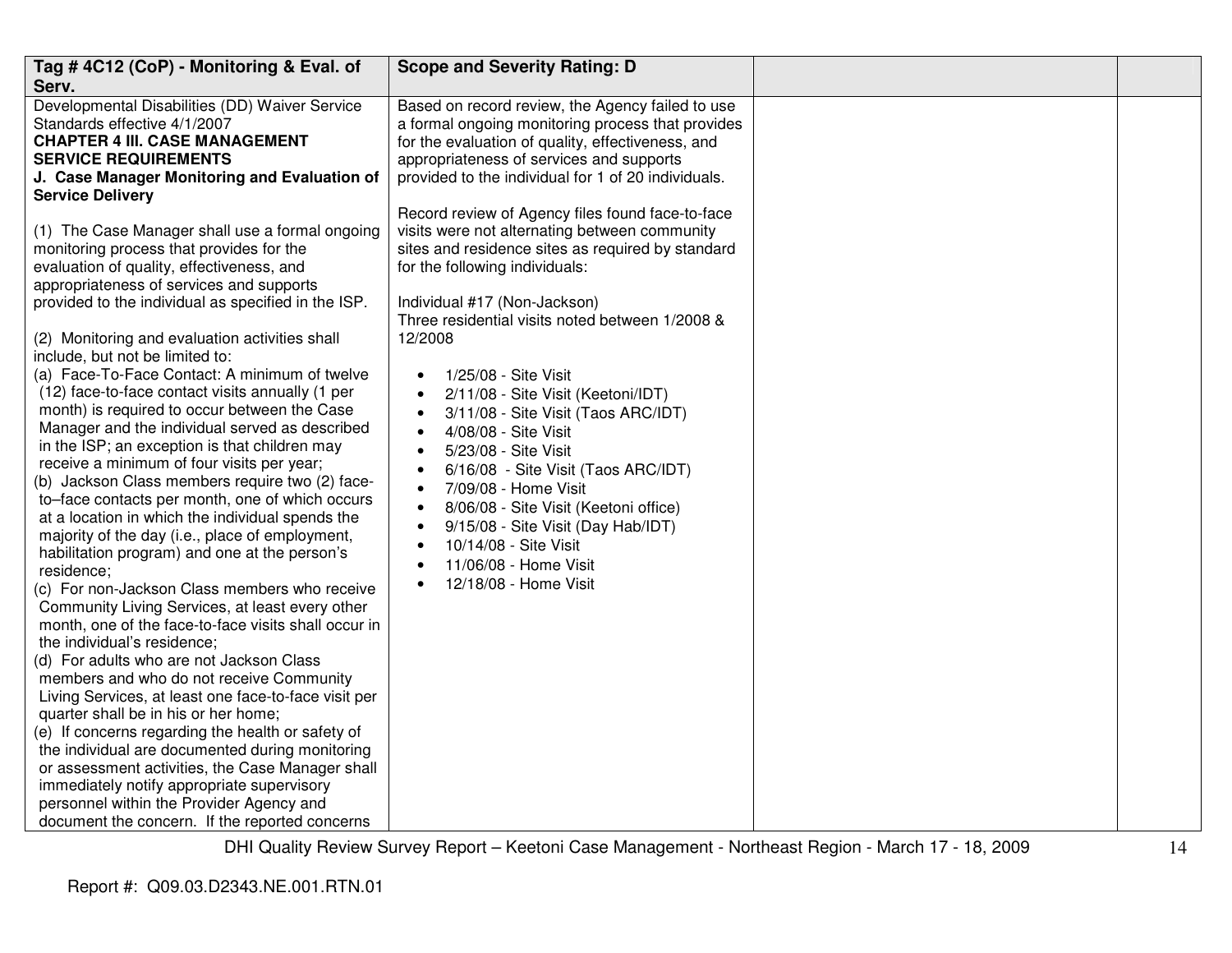| Tag #4C12 (CoP) - Monitoring & Eval. of                                                                                                                                                                                                                                                                                                                                                                                                                                                                                                                                                                                                                                                                                                                                                                                                                                                                                                                                                                                                                                                                                                                                                                                                                       | <b>Scope and Severity Rating: D</b>                                                                                                                                                                                                                                                                                                                                                                                                                                                                                                                                                                                                                                               |  |
|---------------------------------------------------------------------------------------------------------------------------------------------------------------------------------------------------------------------------------------------------------------------------------------------------------------------------------------------------------------------------------------------------------------------------------------------------------------------------------------------------------------------------------------------------------------------------------------------------------------------------------------------------------------------------------------------------------------------------------------------------------------------------------------------------------------------------------------------------------------------------------------------------------------------------------------------------------------------------------------------------------------------------------------------------------------------------------------------------------------------------------------------------------------------------------------------------------------------------------------------------------------|-----------------------------------------------------------------------------------------------------------------------------------------------------------------------------------------------------------------------------------------------------------------------------------------------------------------------------------------------------------------------------------------------------------------------------------------------------------------------------------------------------------------------------------------------------------------------------------------------------------------------------------------------------------------------------------|--|
| Serv.                                                                                                                                                                                                                                                                                                                                                                                                                                                                                                                                                                                                                                                                                                                                                                                                                                                                                                                                                                                                                                                                                                                                                                                                                                                         |                                                                                                                                                                                                                                                                                                                                                                                                                                                                                                                                                                                                                                                                                   |  |
| Developmental Disabilities (DD) Waiver Service<br>Standards effective 4/1/2007<br><b>CHAPTER 4 III. CASE MANAGEMENT</b><br><b>SERVICE REQUIREMENTS</b><br>J. Case Manager Monitoring and Evaluation of<br><b>Service Delivery</b>                                                                                                                                                                                                                                                                                                                                                                                                                                                                                                                                                                                                                                                                                                                                                                                                                                                                                                                                                                                                                             | Based on record review, the Agency failed to use<br>a formal ongoing monitoring process that provides<br>for the evaluation of quality, effectiveness, and<br>appropriateness of services and supports<br>provided to the individual for 1 of 20 individuals.                                                                                                                                                                                                                                                                                                                                                                                                                     |  |
| (1) The Case Manager shall use a formal ongoing<br>monitoring process that provides for the<br>evaluation of quality, effectiveness, and<br>appropriateness of services and supports<br>provided to the individual as specified in the ISP.<br>(2) Monitoring and evaluation activities shall<br>include, but not be limited to:<br>(a) Face-To-Face Contact: A minimum of twelve<br>(12) face-to-face contact visits annually (1 per<br>month) is required to occur between the Case<br>Manager and the individual served as described<br>in the ISP; an exception is that children may<br>receive a minimum of four visits per year;<br>(b) Jackson Class members require two (2) face-<br>to-face contacts per month, one of which occurs<br>at a location in which the individual spends the<br>majority of the day (i.e., place of employment,<br>habilitation program) and one at the person's<br>residence;<br>(c) For non-Jackson Class members who receive<br>Community Living Services, at least every other<br>month, one of the face-to-face visits shall occur in<br>the individual's residence;<br>(d) For adults who are not Jackson Class<br>members and who do not receive Community<br>Living Services, at least one face-to-face visit per | Record review of Agency files found face-to-face<br>visits were not alternating between community<br>sites and residence sites as required by standard<br>for the following individuals:<br>Individual #17 (Non-Jackson)<br>Three residential visits noted between 1/2008 &<br>12/2008<br>1/25/08 - Site Visit<br>2/11/08 - Site Visit (Keetoni/IDT)<br>3/11/08 - Site Visit (Taos ARC/IDT)<br>4/08/08 - Site Visit<br>5/23/08 - Site Visit<br>6/16/08 - Site Visit (Taos ARC/IDT)<br>7/09/08 - Home Visit<br>8/06/08 - Site Visit (Keetoni office)<br>$\bullet$<br>9/15/08 - Site Visit (Day Hab/IDT)<br>10/14/08 - Site Visit<br>11/06/08 - Home Visit<br>12/18/08 - Home Visit |  |
| quarter shall be in his or her home;<br>(e) If concerns regarding the health or safety of<br>the individual are documented during monitoring<br>or assessment activities, the Case Manager shall<br>immediately notify appropriate supervisory<br>personnel within the Provider Agency and<br>document the concern. If the reported concerns                                                                                                                                                                                                                                                                                                                                                                                                                                                                                                                                                                                                                                                                                                                                                                                                                                                                                                                  |                                                                                                                                                                                                                                                                                                                                                                                                                                                                                                                                                                                                                                                                                   |  |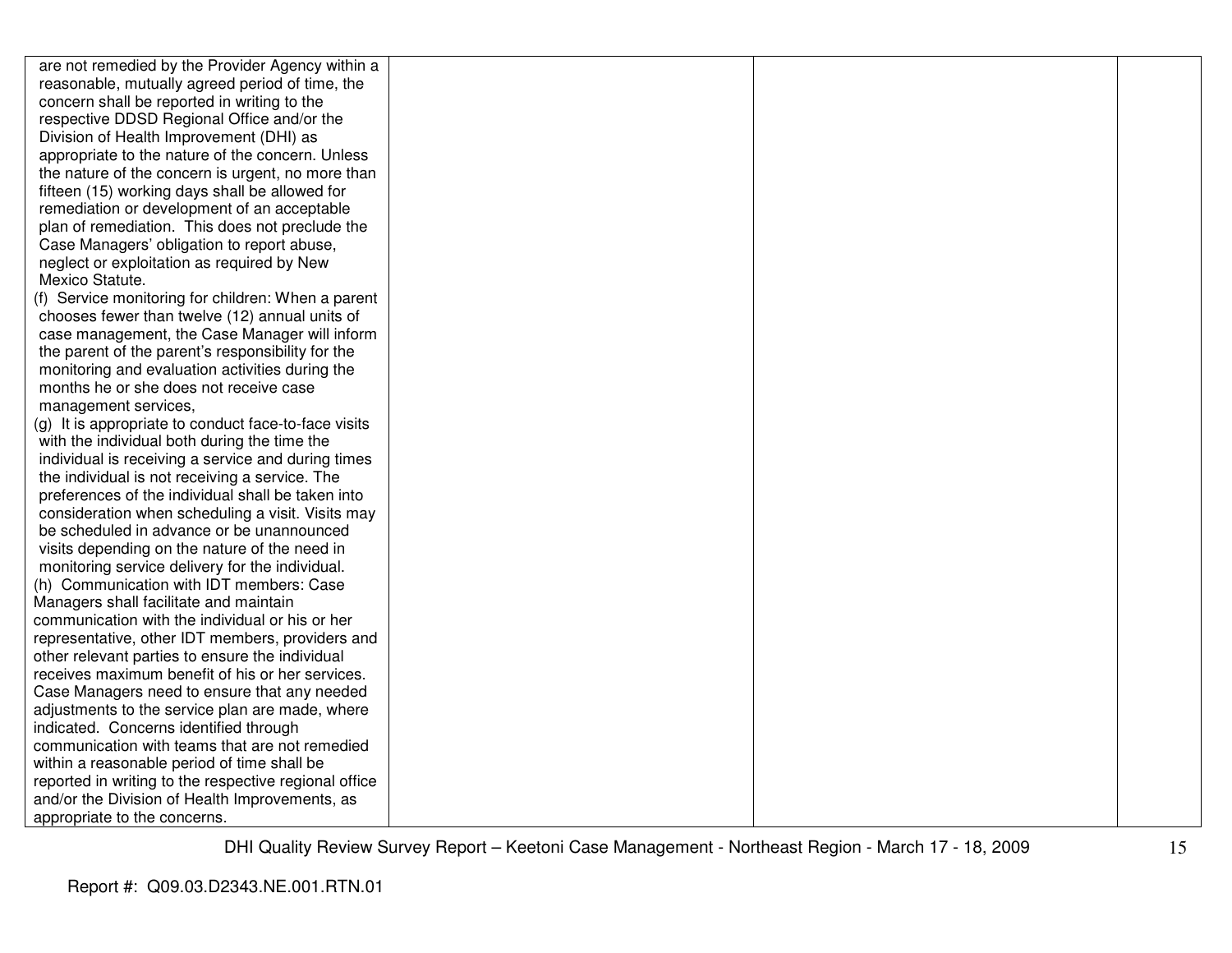| are not remedied by the Provider Agency within a      |  |  |
|-------------------------------------------------------|--|--|
| reasonable, mutually agreed period of time, the       |  |  |
| concern shall be reported in writing to the           |  |  |
| respective DDSD Regional Office and/or the            |  |  |
| Division of Health Improvement (DHI) as               |  |  |
| appropriate to the nature of the concern. Unless      |  |  |
| the nature of the concern is urgent, no more than     |  |  |
| fifteen (15) working days shall be allowed for        |  |  |
| remediation or development of an acceptable           |  |  |
| plan of remediation. This does not preclude the       |  |  |
| Case Managers' obligation to report abuse,            |  |  |
| neglect or exploitation as required by New            |  |  |
| Mexico Statute.                                       |  |  |
| (f) Service monitoring for children: When a parent    |  |  |
| chooses fewer than twelve (12) annual units of        |  |  |
| case management, the Case Manager will inform         |  |  |
| the parent of the parent's responsibility for the     |  |  |
| monitoring and evaluation activities during the       |  |  |
| months he or she does not receive case                |  |  |
| management services,                                  |  |  |
| (g) It is appropriate to conduct face-to-face visits  |  |  |
| with the individual both during the time the          |  |  |
| individual is receiving a service and during times    |  |  |
| the individual is not receiving a service. The        |  |  |
| preferences of the individual shall be taken into     |  |  |
| consideration when scheduling a visit. Visits may     |  |  |
| be scheduled in advance or be unannounced             |  |  |
| visits depending on the nature of the need in         |  |  |
| monitoring service delivery for the individual.       |  |  |
| (h) Communication with IDT members: Case              |  |  |
| Managers shall facilitate and maintain                |  |  |
| communication with the individual or his or her       |  |  |
| representative, other IDT members, providers and      |  |  |
| other relevant parties to ensure the individual       |  |  |
| receives maximum benefit of his or her services.      |  |  |
| Case Managers need to ensure that any needed          |  |  |
| adjustments to the service plan are made, where       |  |  |
| indicated. Concerns identified through                |  |  |
| communication with teams that are not remedied        |  |  |
| within a reasonable period of time shall be           |  |  |
| reported in writing to the respective regional office |  |  |
| and/or the Division of Health Improvements, as        |  |  |
| appropriate to the concerns.                          |  |  |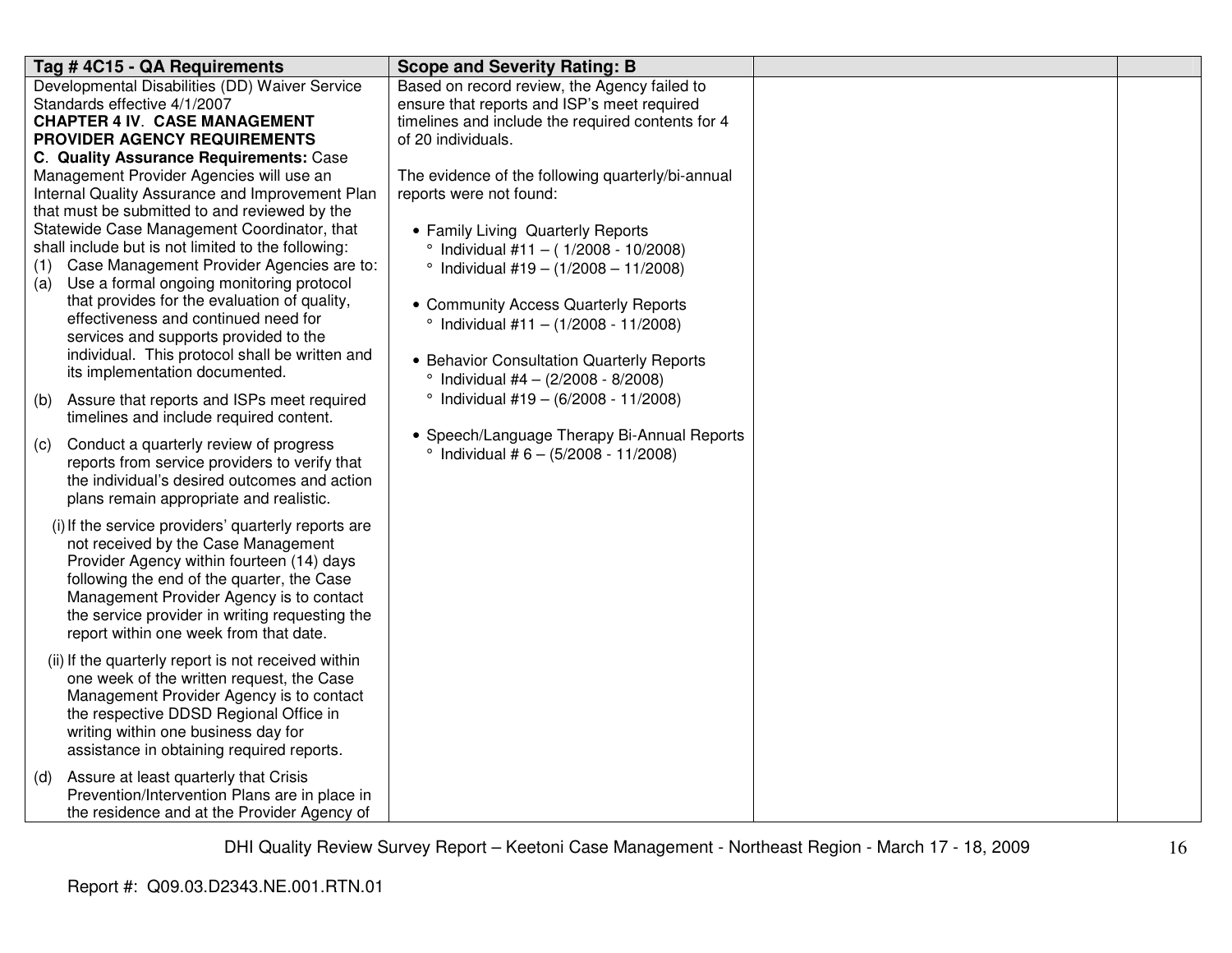| Tag # 4C15 - QA Requirements                                                                                                                                                                                                                                                                                                  | <b>Scope and Severity Rating: B</b>                                                          |  |
|-------------------------------------------------------------------------------------------------------------------------------------------------------------------------------------------------------------------------------------------------------------------------------------------------------------------------------|----------------------------------------------------------------------------------------------|--|
| Developmental Disabilities (DD) Waiver Service                                                                                                                                                                                                                                                                                | Based on record review, the Agency failed to                                                 |  |
| Standards effective 4/1/2007                                                                                                                                                                                                                                                                                                  | ensure that reports and ISP's meet required                                                  |  |
| <b>CHAPTER 4 IV. CASE MANAGEMENT</b>                                                                                                                                                                                                                                                                                          | timelines and include the required contents for 4                                            |  |
| PROVIDER AGENCY REQUIREMENTS                                                                                                                                                                                                                                                                                                  | of 20 individuals.                                                                           |  |
| C. Quality Assurance Requirements: Case                                                                                                                                                                                                                                                                                       |                                                                                              |  |
| Management Provider Agencies will use an                                                                                                                                                                                                                                                                                      | The evidence of the following quarterly/bi-annual                                            |  |
| Internal Quality Assurance and Improvement Plan                                                                                                                                                                                                                                                                               | reports were not found:                                                                      |  |
| that must be submitted to and reviewed by the                                                                                                                                                                                                                                                                                 |                                                                                              |  |
| Statewide Case Management Coordinator, that                                                                                                                                                                                                                                                                                   | • Family Living Quarterly Reports                                                            |  |
| shall include but is not limited to the following:                                                                                                                                                                                                                                                                            | $^{\circ}$ Individual #11 - (1/2008 - 10/2008)                                               |  |
| Case Management Provider Agencies are to:<br>(1)                                                                                                                                                                                                                                                                              | $\degree$ Individual #19 - (1/2008 - 11/2008)                                                |  |
| Use a formal ongoing monitoring protocol<br>(a)                                                                                                                                                                                                                                                                               |                                                                                              |  |
| that provides for the evaluation of quality,                                                                                                                                                                                                                                                                                  | • Community Access Quarterly Reports                                                         |  |
| effectiveness and continued need for                                                                                                                                                                                                                                                                                          | $\degree$ Individual #11 - (1/2008 - 11/2008)                                                |  |
| services and supports provided to the                                                                                                                                                                                                                                                                                         |                                                                                              |  |
| individual. This protocol shall be written and<br>its implementation documented.                                                                                                                                                                                                                                              | • Behavior Consultation Quarterly Reports                                                    |  |
|                                                                                                                                                                                                                                                                                                                               | $\degree$ Individual #4 - (2/2008 - 8/2008)                                                  |  |
| Assure that reports and ISPs meet required<br>(b)                                                                                                                                                                                                                                                                             | $^{\circ}$ Individual #19 - (6/2008 - 11/2008)                                               |  |
| timelines and include required content.                                                                                                                                                                                                                                                                                       |                                                                                              |  |
| Conduct a quarterly review of progress<br>(c)<br>reports from service providers to verify that<br>the individual's desired outcomes and action<br>plans remain appropriate and realistic.                                                                                                                                     | • Speech/Language Therapy Bi-Annual Reports<br>$\degree$ Individual # 6 - (5/2008 - 11/2008) |  |
| (i) If the service providers' quarterly reports are<br>not received by the Case Management<br>Provider Agency within fourteen (14) days<br>following the end of the quarter, the Case<br>Management Provider Agency is to contact<br>the service provider in writing requesting the<br>report within one week from that date. |                                                                                              |  |
| (ii) If the quarterly report is not received within<br>one week of the written request, the Case<br>Management Provider Agency is to contact<br>the respective DDSD Regional Office in<br>writing within one business day for<br>assistance in obtaining required reports.                                                    |                                                                                              |  |
| Assure at least quarterly that Crisis<br>(d)<br>Prevention/Intervention Plans are in place in<br>the residence and at the Provider Agency of                                                                                                                                                                                  |                                                                                              |  |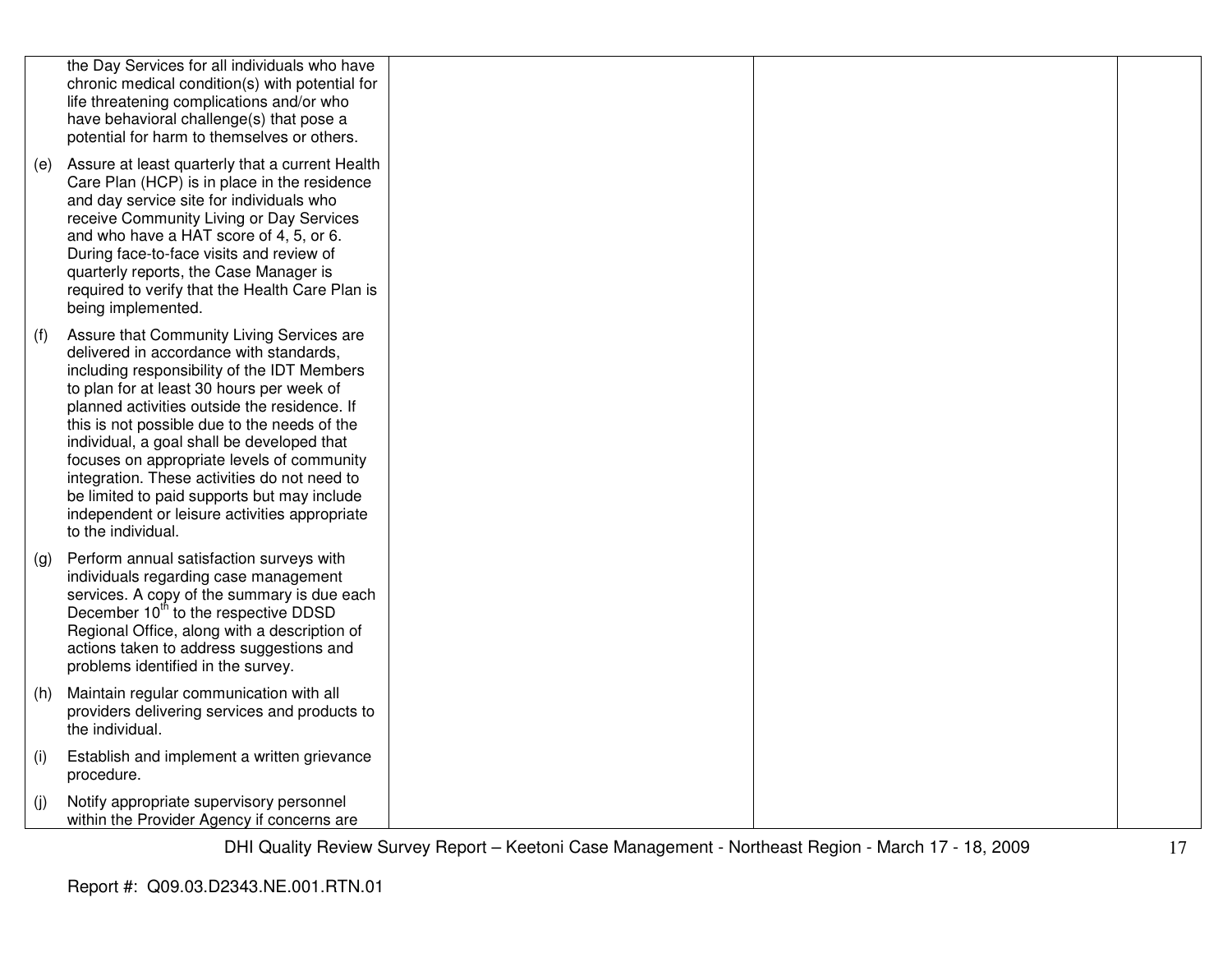|     | the Day Services for all individuals who have<br>chronic medical condition(s) with potential for<br>life threatening complications and/or who<br>have behavioral challenge(s) that pose a<br>potential for harm to themselves or others.                                                                                                                                                                                                                                                                                                           |  |  |
|-----|----------------------------------------------------------------------------------------------------------------------------------------------------------------------------------------------------------------------------------------------------------------------------------------------------------------------------------------------------------------------------------------------------------------------------------------------------------------------------------------------------------------------------------------------------|--|--|
| (e) | Assure at least quarterly that a current Health<br>Care Plan (HCP) is in place in the residence<br>and day service site for individuals who<br>receive Community Living or Day Services<br>and who have a HAT score of 4, 5, or 6.<br>During face-to-face visits and review of<br>quarterly reports, the Case Manager is<br>required to verify that the Health Care Plan is<br>being implemented.                                                                                                                                                  |  |  |
| (f) | Assure that Community Living Services are<br>delivered in accordance with standards,<br>including responsibility of the IDT Members<br>to plan for at least 30 hours per week of<br>planned activities outside the residence. If<br>this is not possible due to the needs of the<br>individual, a goal shall be developed that<br>focuses on appropriate levels of community<br>integration. These activities do not need to<br>be limited to paid supports but may include<br>independent or leisure activities appropriate<br>to the individual. |  |  |
| (g) | Perform annual satisfaction surveys with<br>individuals regarding case management<br>services. A copy of the summary is due each<br>December 10 <sup>th</sup> to the respective DDSD<br>Regional Office, along with a description of<br>actions taken to address suggestions and<br>problems identified in the survey.                                                                                                                                                                                                                             |  |  |
| (h) | Maintain regular communication with all<br>providers delivering services and products to<br>the individual.                                                                                                                                                                                                                                                                                                                                                                                                                                        |  |  |
| (i) | Establish and implement a written grievance<br>procedure.                                                                                                                                                                                                                                                                                                                                                                                                                                                                                          |  |  |
| (j) | Notify appropriate supervisory personnel<br>within the Provider Agency if concerns are                                                                                                                                                                                                                                                                                                                                                                                                                                                             |  |  |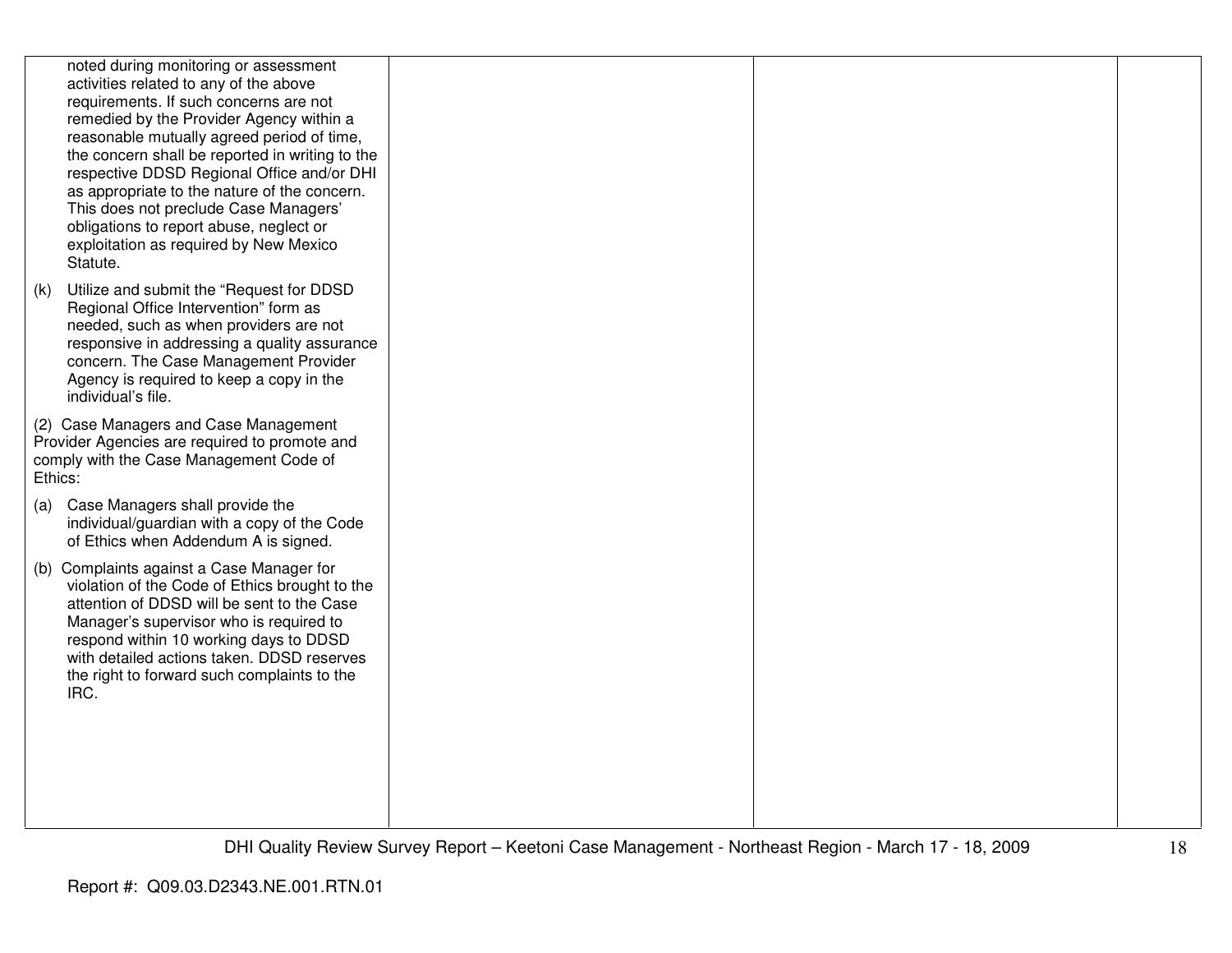|     | noted during monitoring or assessment<br>activities related to any of the above<br>requirements. If such concerns are not<br>remedied by the Provider Agency within a<br>reasonable mutually agreed period of time,<br>the concern shall be reported in writing to the<br>respective DDSD Regional Office and/or DHI<br>as appropriate to the nature of the concern.<br>This does not preclude Case Managers'<br>obligations to report abuse, neglect or<br>exploitation as required by New Mexico<br>Statute. |  |  |
|-----|----------------------------------------------------------------------------------------------------------------------------------------------------------------------------------------------------------------------------------------------------------------------------------------------------------------------------------------------------------------------------------------------------------------------------------------------------------------------------------------------------------------|--|--|
| (k) | Utilize and submit the "Request for DDSD<br>Regional Office Intervention" form as<br>needed, such as when providers are not<br>responsive in addressing a quality assurance<br>concern. The Case Management Provider<br>Agency is required to keep a copy in the<br>individual's file.                                                                                                                                                                                                                         |  |  |
|     | (2) Case Managers and Case Management<br>Provider Agencies are required to promote and<br>comply with the Case Management Code of<br>Ethics:                                                                                                                                                                                                                                                                                                                                                                   |  |  |
|     | (a) Case Managers shall provide the<br>individual/guardian with a copy of the Code<br>of Ethics when Addendum A is signed.                                                                                                                                                                                                                                                                                                                                                                                     |  |  |
|     | (b) Complaints against a Case Manager for<br>violation of the Code of Ethics brought to the<br>attention of DDSD will be sent to the Case<br>Manager's supervisor who is required to<br>respond within 10 working days to DDSD<br>with detailed actions taken. DDSD reserves<br>the right to forward such complaints to the<br>IRC.                                                                                                                                                                            |  |  |
|     |                                                                                                                                                                                                                                                                                                                                                                                                                                                                                                                |  |  |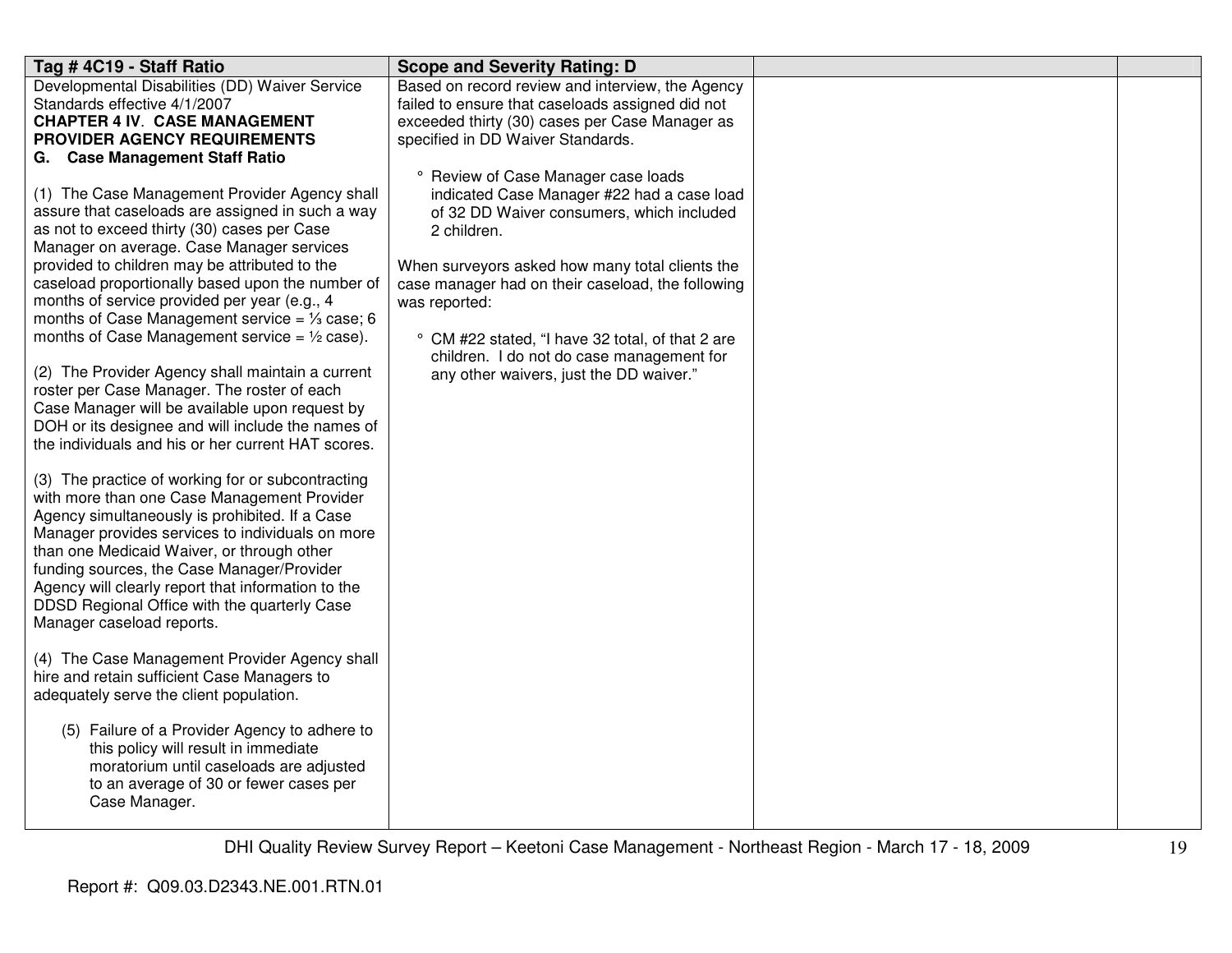| Tag # 4C19 - Staff Ratio                                                                                                                                                                                                                                                                                                                                                                                                                                                                                                                                                                                                                                                                                                                                                                                                                                                                                                                                                                                                                                                                                                                                                                                                                                                                                                                                                                                                                                                                                                                                         | <b>Scope and Severity Rating: D</b>                                                                                                                                                                                                                                                                                                                                                                                |  |
|------------------------------------------------------------------------------------------------------------------------------------------------------------------------------------------------------------------------------------------------------------------------------------------------------------------------------------------------------------------------------------------------------------------------------------------------------------------------------------------------------------------------------------------------------------------------------------------------------------------------------------------------------------------------------------------------------------------------------------------------------------------------------------------------------------------------------------------------------------------------------------------------------------------------------------------------------------------------------------------------------------------------------------------------------------------------------------------------------------------------------------------------------------------------------------------------------------------------------------------------------------------------------------------------------------------------------------------------------------------------------------------------------------------------------------------------------------------------------------------------------------------------------------------------------------------|--------------------------------------------------------------------------------------------------------------------------------------------------------------------------------------------------------------------------------------------------------------------------------------------------------------------------------------------------------------------------------------------------------------------|--|
| Developmental Disabilities (DD) Waiver Service<br>Standards effective 4/1/2007<br><b>CHAPTER 4 IV. CASE MANAGEMENT</b><br>PROVIDER AGENCY REQUIREMENTS                                                                                                                                                                                                                                                                                                                                                                                                                                                                                                                                                                                                                                                                                                                                                                                                                                                                                                                                                                                                                                                                                                                                                                                                                                                                                                                                                                                                           | Based on record review and interview, the Agency<br>failed to ensure that caseloads assigned did not<br>exceeded thirty (30) cases per Case Manager as<br>specified in DD Waiver Standards.                                                                                                                                                                                                                        |  |
| G. Case Management Staff Ratio<br>(1) The Case Management Provider Agency shall<br>assure that caseloads are assigned in such a way<br>as not to exceed thirty (30) cases per Case<br>Manager on average. Case Manager services<br>provided to children may be attributed to the<br>caseload proportionally based upon the number of<br>months of service provided per year (e.g., 4<br>months of Case Management service = $\frac{1}{3}$ case; 6<br>months of Case Management service = $\frac{1}{2}$ case).<br>(2) The Provider Agency shall maintain a current<br>roster per Case Manager. The roster of each<br>Case Manager will be available upon request by<br>DOH or its designee and will include the names of<br>the individuals and his or her current HAT scores.<br>(3) The practice of working for or subcontracting<br>with more than one Case Management Provider<br>Agency simultaneously is prohibited. If a Case<br>Manager provides services to individuals on more<br>than one Medicaid Waiver, or through other<br>funding sources, the Case Manager/Provider<br>Agency will clearly report that information to the<br>DDSD Regional Office with the quarterly Case<br>Manager caseload reports.<br>(4) The Case Management Provider Agency shall<br>hire and retain sufficient Case Managers to<br>adequately serve the client population.<br>(5) Failure of a Provider Agency to adhere to<br>this policy will result in immediate<br>moratorium until caseloads are adjusted<br>to an average of 30 or fewer cases per<br>Case Manager. | ° Review of Case Manager case loads<br>indicated Case Manager #22 had a case load<br>of 32 DD Waiver consumers, which included<br>2 children.<br>When surveyors asked how many total clients the<br>case manager had on their caseload, the following<br>was reported:<br>° CM #22 stated, "I have 32 total, of that 2 are<br>children. I do not do case management for<br>any other waivers, just the DD waiver." |  |